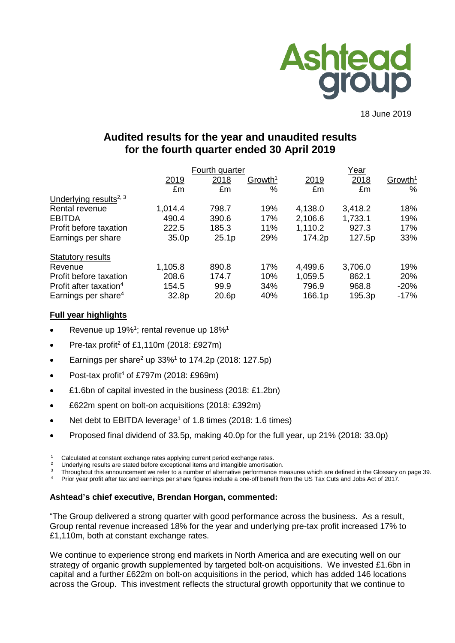

18 June 2019

# **Audited results for the year and unaudited results for the fourth quarter ended 30 April 2019**

|                                    | Fourth quarter    |                   |                     |         | Year    |                     |  |  |
|------------------------------------|-------------------|-------------------|---------------------|---------|---------|---------------------|--|--|
|                                    | 2019              | 2018              | Growth <sup>1</sup> | 2019    | 2018    | Growth <sup>1</sup> |  |  |
|                                    | £m                | £m                | %                   | £m      | £m      | %                   |  |  |
| Underlying results <sup>2, 3</sup> |                   |                   |                     |         |         |                     |  |  |
| Rental revenue                     | 1,014.4           | 798.7             | 19%                 | 4,138.0 | 3,418.2 | 18%                 |  |  |
| <b>EBITDA</b>                      | 490.4             | 390.6             | 17%                 | 2,106.6 | 1,733.1 | 19%                 |  |  |
| Profit before taxation             | 222.5             | 185.3             | 11%                 | 1,110.2 | 927.3   | 17%                 |  |  |
| Earnings per share                 | 35.0 <sub>p</sub> | 25.1 <sub>p</sub> | 29%                 | 174.2p  | 127.5p  | 33%                 |  |  |
| <b>Statutory results</b>           |                   |                   |                     |         |         |                     |  |  |
| Revenue                            | 1,105.8           | 890.8             | 17%                 | 4,499.6 | 3,706.0 | 19%                 |  |  |
| Profit before taxation             | 208.6             | 174.7             | 10%                 | 1,059.5 | 862.1   | 20%                 |  |  |
| Profit after taxation <sup>4</sup> | 154.5             | 99.9              | 34%                 | 796.9   | 968.8   | $-20%$              |  |  |
| Earnings per share $4$             | 32.8p             | 20.6p             | 40%                 | 166.1p  | 195.3p  | $-17%$              |  |  |

## **Full year highlights**

- Revenue up 19%<sup>1</sup>; rental revenue up 18%<sup>1</sup>
- Pre-tax profit<sup>2</sup> of £1,110m (2018: £927m)
- Earnings per share<sup>2</sup> up  $33\%$ <sup>1</sup> to 174.2p (2018: 127.5p)
- Post-tax profit<sup>4</sup> of £797m (2018: £969m)
- £1.6bn of capital invested in the business (2018: £1.2bn)
- £622m spent on bolt-on acquisitions (2018: £392m)
- Net debt to EBITDA leverage<sup>1</sup> of 1.8 times (2018: 1.6 times)
- Proposed final dividend of 33.5p, making 40.0p for the full year, up 21% (2018: 33.0p)

<sup>2</sup> Underlying results are stated before exceptional items and intangible amortisation.

Throughout this announcement we refer to a number of alternative performance measures which are defined in the Glossary on page 39.

<sup>4</sup> Prior year profit after tax and earnings per share figures include a one-off benefit from the US Tax Cuts and Jobs Act of 2017.

## **Ashtead's chief executive, Brendan Horgan, commented:**

"The Group delivered a strong quarter with good performance across the business. As a result, Group rental revenue increased 18% for the year and underlying pre-tax profit increased 17% to £1,110m, both at constant exchange rates.

We continue to experience strong end markets in North America and are executing well on our strategy of organic growth supplemented by targeted bolt-on acquisitions. We invested £1.6bn in capital and a further £622m on bolt-on acquisitions in the period, which has added 146 locations across the Group. This investment reflects the structural growth opportunity that we continue to

Calculated at constant exchange rates applying current period exchange rates.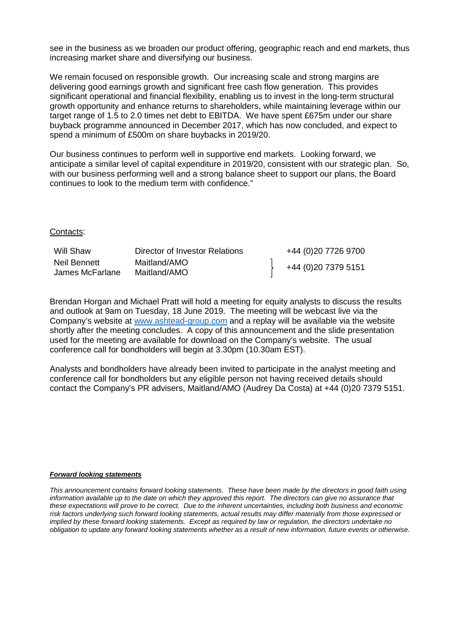see in the business as we broaden our product offering, geographic reach and end markets, thus increasing market share and diversifying our business.

We remain focused on responsible growth. Our increasing scale and strong margins are delivering good earnings growth and significant free cash flow generation. This provides significant operational and financial flexibility, enabling us to invest in the long-term structural growth opportunity and enhance returns to shareholders, while maintaining leverage within our target range of 1.5 to 2.0 times net debt to EBITDA. We have spent £675m under our share buyback programme announced in December 2017, which has now concluded, and expect to spend a minimum of £500m on share buybacks in 2019/20.

Our business continues to perform well in supportive end markets. Looking forward, we anticipate a similar level of capital expenditure in 2019/20, consistent with our strategic plan. So, with our business performing well and a strong balance sheet to support our plans, the Board continues to look to the medium term with confidence."

#### Contacts:

| Will Shaw                       | Director of Investor Relations | +44 (0)20 7726 9700 |
|---------------------------------|--------------------------------|---------------------|
| Neil Bennett<br>James McFarlane | Maitland/AMO<br>Maitland/AMO   | +44 (0)20 7379 5151 |

Brendan Horgan and Michael Pratt will hold a meeting for equity analysts to discuss the results and outlook at 9am on Tuesday, 18 June 2019. The meeting will be webcast live via the Company's website at [www.ashtead-group.com](http://www.ashtead-group.com/) and a replay will be available via the website shortly after the meeting concludes. A copy of this announcement and the slide presentation used for the meeting are available for download on the Company's website. The usual conference call for bondholders will begin at 3.30pm (10.30am EST).

Analysts and bondholders have already been invited to participate in the analyst meeting and conference call for bondholders but any eligible person not having received details should contact the Company's PR advisers, Maitland/AMO (Audrey Da Costa) at +44 (0)20 7379 5151.

#### *Forward looking statements*

*This announcement contains forward looking statements. These have been made by the directors in good faith using*  information available up to the date on which they approved this report. The directors can give no assurance that *these expectations will prove to be correct. Due to the inherent uncertainties, including both business and economic risk factors underlying such forward looking statements, actual results may differ materially from those expressed or implied by these forward looking statements. Except as required by law or regulation, the directors undertake no obligation to update any forward looking statements whether as a result of new information, future events or otherwise.*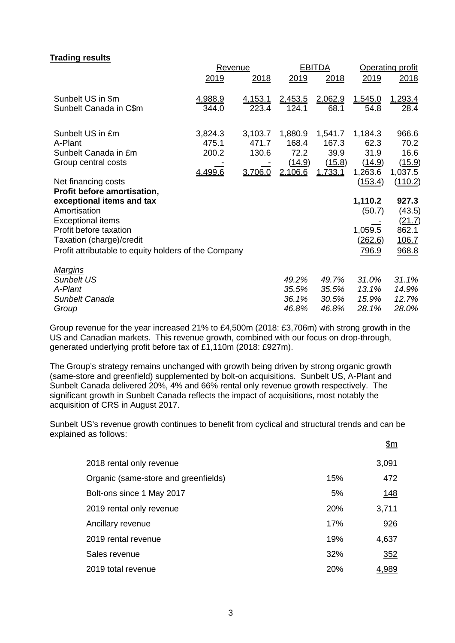## **Trading results**

|                                                      | <b>Revenue</b> |               |                | <b>EBITDA</b> | <b>Operating profit</b> |               |  |
|------------------------------------------------------|----------------|---------------|----------------|---------------|-------------------------|---------------|--|
|                                                      | 2019           | 2018          | 2019           | 2018          | 2019                    | 2018          |  |
| Sunbelt US in \$m                                    | 4,988.9        | 4,153.1       | <u>2,453.5</u> | 2,062.9       | 1,545.0                 | 1,293.4       |  |
| Sunbelt Canada in C\$m                               | <u>344.0</u>   | <u> 223.4</u> | <u>124.1</u>   | 68.1          | <u>54.8</u>             | <u>28.4</u>   |  |
| Sunbelt US in £m                                     | 3,824.3        | 3,103.7       | 1,880.9        | 1,541.7       | 1,184.3                 | 966.6         |  |
| A-Plant                                              | 475.1          | 471.7         | 168.4          | 167.3         | 62.3                    | 70.2          |  |
| Sunbelt Canada in £m                                 | 200.2          | 130.6         | 72.2           | 39.9          | 31.9                    | 16.6          |  |
| Group central costs                                  |                |               | (14.9)         | (15.8)        | (14.9)                  | (15.9)        |  |
|                                                      | 4,499.6        | 3,706.0       | 2,106.6        | 1,733.1       | 1,263.6                 | 1,037.5       |  |
| Net financing costs                                  |                |               |                |               | (153.4)                 | (110.2)       |  |
| Profit before amortisation,                          |                |               |                |               |                         |               |  |
| exceptional items and tax                            |                |               |                |               | 1,110.2                 | 927.3         |  |
| Amortisation                                         |                |               |                |               | (50.7)                  | (43.5)        |  |
| <b>Exceptional items</b>                             |                |               |                |               |                         | <u>(21.7)</u> |  |
| Profit before taxation                               |                |               |                |               | 1,059.5                 | 862.1         |  |
| Taxation (charge)/credit                             |                |               |                |               | <u>(262.6)</u>          | 106.7         |  |
| Profit attributable to equity holders of the Company |                |               |                |               | 796.9                   | 968.8         |  |
| <u>Margins</u>                                       |                |               |                |               |                         |               |  |
| <b>Sunbelt US</b>                                    |                |               | 49.2%          | 49.7%         | 31.0%                   | 31.1%         |  |
| A-Plant                                              |                |               | 35.5%          | 35.5%         | 13.1%                   | 14.9%         |  |
| Sunbelt Canada                                       |                |               | 36.1%          | 30.5%         | 15.9%                   | 12.7%         |  |
| Group                                                |                |               | 46.8%          | 46.8%         | 28.1%                   | 28.0%         |  |

Group revenue for the year increased 21% to £4,500m (2018: £3,706m) with strong growth in the US and Canadian markets. This revenue growth, combined with our focus on drop-through, generated underlying profit before tax of £1,110m (2018: £927m).

The Group's strategy remains unchanged with growth being driven by strong organic growth (same-store and greenfield) supplemented by bolt-on acquisitions. Sunbelt US, A-Plant and Sunbelt Canada delivered 20%, 4% and 66% rental only revenue growth respectively. The significant growth in Sunbelt Canada reflects the impact of acquisitions, most notably the acquisition of CRS in August 2017.

Sunbelt US's revenue growth continues to benefit from cyclical and structural trends and can be explained as follows: \$m

|                                      |            | <u></u>     |
|--------------------------------------|------------|-------------|
| 2018 rental only revenue             |            | 3,091       |
| Organic (same-store and greenfields) | 15%        | 472         |
| Bolt-ons since 1 May 2017            | 5%         | <u>148</u>  |
| 2019 rental only revenue             | <b>20%</b> | 3,711       |
| Ancillary revenue                    | 17%        | 926         |
| 2019 rental revenue                  | 19%        | 4,637       |
| Sales revenue                        | 32%        | 352         |
| 2019 total revenue                   | 20%        | <u>989.</u> |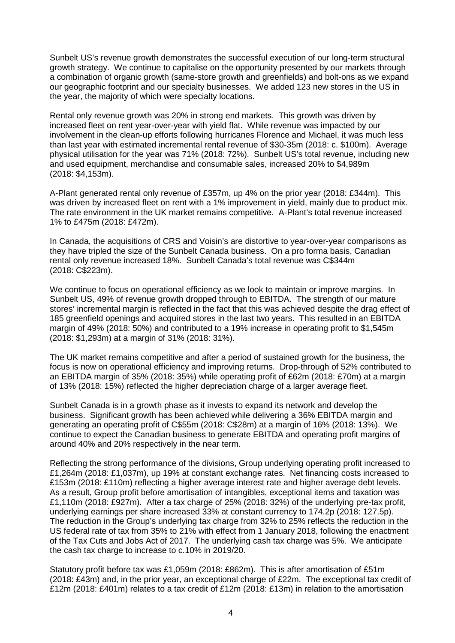Sunbelt US's revenue growth demonstrates the successful execution of our long-term structural growth strategy. We continue to capitalise on the opportunity presented by our markets through a combination of organic growth (same-store growth and greenfields) and bolt-ons as we expand our geographic footprint and our specialty businesses. We added 123 new stores in the US in the year, the majority of which were specialty locations.

Rental only revenue growth was 20% in strong end markets. This growth was driven by increased fleet on rent year-over-year with yield flat. While revenue was impacted by our involvement in the clean-up efforts following hurricanes Florence and Michael, it was much less than last year with estimated incremental rental revenue of \$30-35m (2018: c. \$100m). Average physical utilisation for the year was 71% (2018: 72%). Sunbelt US's total revenue, including new and used equipment, merchandise and consumable sales, increased 20% to \$4,989m (2018: \$4,153m).

A-Plant generated rental only revenue of £357m, up 4% on the prior year (2018: £344m). This was driven by increased fleet on rent with a 1% improvement in yield, mainly due to product mix. The rate environment in the UK market remains competitive. A-Plant's total revenue increased 1% to £475m (2018: £472m).

In Canada, the acquisitions of CRS and Voisin's are distortive to year-over-year comparisons as they have tripled the size of the Sunbelt Canada business. On a pro forma basis, Canadian rental only revenue increased 18%. Sunbelt Canada's total revenue was C\$344m (2018: C\$223m).

We continue to focus on operational efficiency as we look to maintain or improve margins. In Sunbelt US, 49% of revenue growth dropped through to EBITDA. The strength of our mature stores' incremental margin is reflected in the fact that this was achieved despite the drag effect of 185 greenfield openings and acquired stores in the last two years. This resulted in an EBITDA margin of 49% (2018: 50%) and contributed to a 19% increase in operating profit to \$1,545m (2018: \$1,293m) at a margin of 31% (2018: 31%).

The UK market remains competitive and after a period of sustained growth for the business, the focus is now on operational efficiency and improving returns. Drop-through of 52% contributed to an EBITDA margin of 35% (2018: 35%) while operating profit of £62m (2018: £70m) at a margin of 13% (2018: 15%) reflected the higher depreciation charge of a larger average fleet.

Sunbelt Canada is in a growth phase as it invests to expand its network and develop the business. Significant growth has been achieved while delivering a 36% EBITDA margin and generating an operating profit of C\$55m (2018: C\$28m) at a margin of 16% (2018: 13%). We continue to expect the Canadian business to generate EBITDA and operating profit margins of around 40% and 20% respectively in the near term.

Reflecting the strong performance of the divisions, Group underlying operating profit increased to £1,264m (2018: £1,037m), up 19% at constant exchange rates. Net financing costs increased to £153m (2018: £110m) reflecting a higher average interest rate and higher average debt levels. As a result, Group profit before amortisation of intangibles, exceptional items and taxation was £1,110m (2018: £927m). After a tax charge of 25% (2018: 32%) of the underlying pre-tax profit, underlying earnings per share increased 33% at constant currency to 174.2p (2018: 127.5p). The reduction in the Group's underlying tax charge from 32% to 25% reflects the reduction in the US federal rate of tax from 35% to 21% with effect from 1 January 2018, following the enactment of the Tax Cuts and Jobs Act of 2017. The underlying cash tax charge was 5%. We anticipate the cash tax charge to increase to c.10% in 2019/20.

Statutory profit before tax was £1,059m (2018: £862m). This is after amortisation of £51m (2018: £43m) and, in the prior year, an exceptional charge of £22m. The exceptional tax credit of £12m (2018: £401m) relates to a tax credit of £12m (2018: £13m) in relation to the amortisation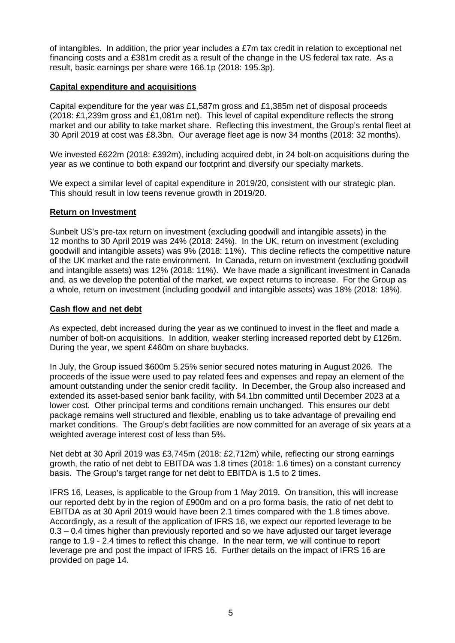of intangibles. In addition, the prior year includes a  $E7m$  tax credit in relation to exceptional net financing costs and a £381m credit as a result of the change in the US federal tax rate. As a result, basic earnings per share were 166.1p (2018: 195.3p).

## **Capital expenditure and acquisitions**

Capital expenditure for the year was £1,587m gross and £1,385m net of disposal proceeds (2018: £1,239m gross and £1,081m net). This level of capital expenditure reflects the strong market and our ability to take market share. Reflecting this investment, the Group's rental fleet at 30 April 2019 at cost was £8.3bn. Our average fleet age is now 34 months (2018: 32 months).

We invested £622m (2018: £392m), including acquired debt, in 24 bolt-on acquisitions during the year as we continue to both expand our footprint and diversify our specialty markets.

We expect a similar level of capital expenditure in 2019/20, consistent with our strategic plan. This should result in low teens revenue growth in 2019/20.

#### **Return on Investment**

Sunbelt US's pre-tax return on investment (excluding goodwill and intangible assets) in the 12 months to 30 April 2019 was 24% (2018: 24%). In the UK, return on investment (excluding goodwill and intangible assets) was 9% (2018: 11%). This decline reflects the competitive nature of the UK market and the rate environment. In Canada, return on investment (excluding goodwill and intangible assets) was 12% (2018: 11%). We have made a significant investment in Canada and, as we develop the potential of the market, we expect returns to increase. For the Group as a whole, return on investment (including goodwill and intangible assets) was 18% (2018: 18%).

#### **Cash flow and net debt**

As expected, debt increased during the year as we continued to invest in the fleet and made a number of bolt-on acquisitions. In addition, weaker sterling increased reported debt by £126m. During the year, we spent £460m on share buybacks.

In July, the Group issued \$600m 5.25% senior secured notes maturing in August 2026. The proceeds of the issue were used to pay related fees and expenses and repay an element of the amount outstanding under the senior credit facility. In December, the Group also increased and extended its asset-based senior bank facility, with \$4.1bn committed until December 2023 at a lower cost. Other principal terms and conditions remain unchanged. This ensures our debt package remains well structured and flexible, enabling us to take advantage of prevailing end market conditions. The Group's debt facilities are now committed for an average of six years at a weighted average interest cost of less than 5%.

Net debt at 30 April 2019 was £3,745m (2018: £2,712m) while, reflecting our strong earnings growth, the ratio of net debt to EBITDA was 1.8 times (2018: 1.6 times) on a constant currency basis. The Group's target range for net debt to EBITDA is 1.5 to 2 times.

IFRS 16, Leases, is applicable to the Group from 1 May 2019. On transition, this will increase our reported debt by in the region of £900m and on a pro forma basis, the ratio of net debt to EBITDA as at 30 April 2019 would have been 2.1 times compared with the 1.8 times above. Accordingly, as a result of the application of IFRS 16, we expect our reported leverage to be 0.3 – 0.4 times higher than previously reported and so we have adjusted our target leverage range to 1.9 - 2.4 times to reflect this change. In the near term, we will continue to report leverage pre and post the impact of IFRS 16. Further details on the impact of IFRS 16 are provided on page 14.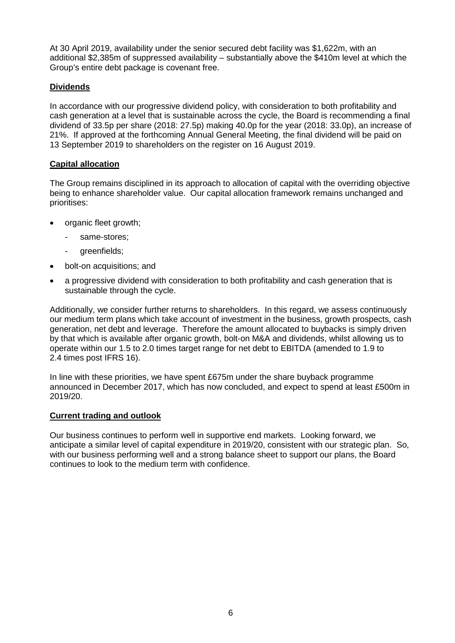At 30 April 2019, availability under the senior secured debt facility was \$1,622m, with an additional \$2,385m of suppressed availability – substantially above the \$410m level at which the Group's entire debt package is covenant free.

## **Dividends**

In accordance with our progressive dividend policy, with consideration to both profitability and cash generation at a level that is sustainable across the cycle, the Board is recommending a final dividend of 33.5p per share (2018: 27.5p) making 40.0p for the year (2018: 33.0p), an increase of 21%. If approved at the forthcoming Annual General Meeting, the final dividend will be paid on 13 September 2019 to shareholders on the register on 16 August 2019.

## **Capital allocation**

The Group remains disciplined in its approach to allocation of capital with the overriding objective being to enhance shareholder value. Our capital allocation framework remains unchanged and prioritises:

- organic fleet growth;
	- same-stores;
	- greenfields;
- bolt-on acquisitions; and
- a progressive dividend with consideration to both profitability and cash generation that is sustainable through the cycle.

Additionally, we consider further returns to shareholders. In this regard, we assess continuously our medium term plans which take account of investment in the business, growth prospects, cash generation, net debt and leverage. Therefore the amount allocated to buybacks is simply driven by that which is available after organic growth, bolt-on M&A and dividends, whilst allowing us to operate within our 1.5 to 2.0 times target range for net debt to EBITDA (amended to 1.9 to 2.4 times post IFRS 16).

In line with these priorities, we have spent £675m under the share buyback programme announced in December 2017, which has now concluded, and expect to spend at least £500m in 2019/20.

## **Current trading and outlook**

Our business continues to perform well in supportive end markets. Looking forward, we anticipate a similar level of capital expenditure in 2019/20, consistent with our strategic plan. So, with our business performing well and a strong balance sheet to support our plans, the Board continues to look to the medium term with confidence.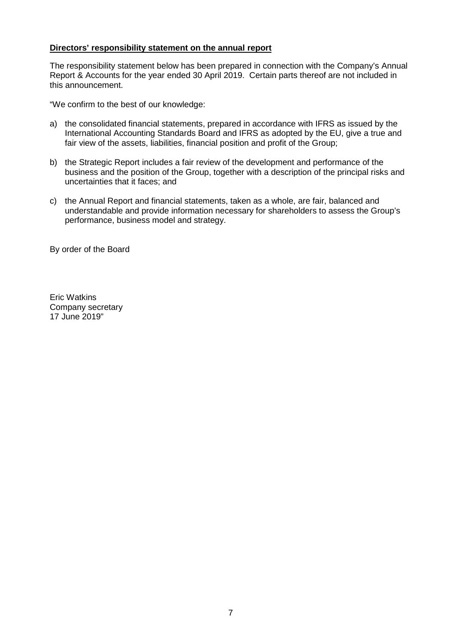## **Directors' responsibility statement on the annual report**

The responsibility statement below has been prepared in connection with the Company's Annual Report & Accounts for the year ended 30 April 2019. Certain parts thereof are not included in this announcement.

"We confirm to the best of our knowledge:

- a) the consolidated financial statements, prepared in accordance with IFRS as issued by the International Accounting Standards Board and IFRS as adopted by the EU, give a true and fair view of the assets, liabilities, financial position and profit of the Group;
- b) the Strategic Report includes a fair review of the development and performance of the business and the position of the Group, together with a description of the principal risks and uncertainties that it faces; and
- c) the Annual Report and financial statements, taken as a whole, are fair, balanced and understandable and provide information necessary for shareholders to assess the Group's performance, business model and strategy.

By order of the Board

Eric Watkins Company secretary 17 June 2019"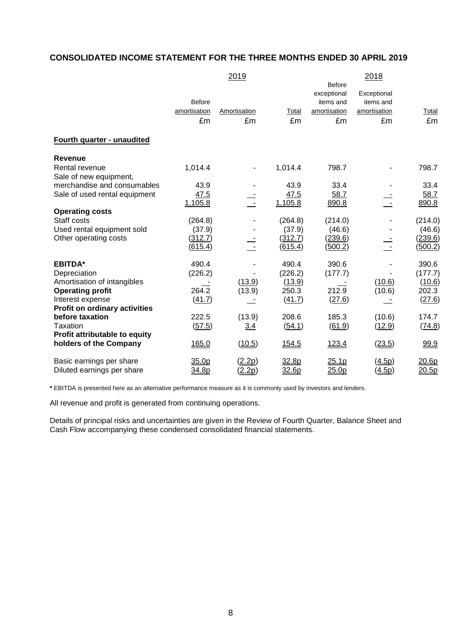# **CONSOLIDATED INCOME STATEMENT FOR THE THREE MONTHS ENDED 30 APRIL 2019**

|                                      |               | 2019                |         |                   | 2018         |                |
|--------------------------------------|---------------|---------------------|---------|-------------------|--------------|----------------|
|                                      |               |                     |         | <b>Before</b>     |              |                |
|                                      |               |                     |         | exceptional       | Exceptional  |                |
|                                      | <b>Before</b> |                     |         | items and         | items and    |                |
|                                      | amortisation  | <b>Amortisation</b> | Total   | amortisation      | amortisation | Total          |
|                                      | £m            | £m                  | £m      | £m                | £m           | £m             |
| Fourth quarter - unaudited           |               |                     |         |                   |              |                |
|                                      |               |                     |         |                   |              |                |
| <b>Revenue</b>                       |               |                     |         |                   |              |                |
| Rental revenue                       | 1,014.4       | $\blacksquare$      | 1,014.4 | 798.7             |              | 798.7          |
| Sale of new equipment,               |               |                     |         |                   |              |                |
| merchandise and consumables          | 43.9          |                     | 43.9    | 33.4              |              | 33.4           |
| Sale of used rental equipment        | 47.5          | $\div$              | 47.5    | 58.7              |              | 58.7           |
|                                      | 1,105.8       |                     | 1,105.8 | 890.8             |              | 890.8          |
| <b>Operating costs</b>               |               |                     |         |                   |              |                |
| Staff costs                          | (264.8)       |                     | (264.8) | (214.0)           |              | (214.0)        |
| Used rental equipment sold           | (37.9)        |                     | (37.9)  | (46.6)            |              | (46.6)         |
| Other operating costs                | (312.7)       |                     | (312.7) | (239.6)           |              | (239.6)        |
|                                      | (615.4)       |                     | (615.4) | (500.2)           |              | <u>(500.2)</u> |
| <b>EBITDA*</b>                       | 490.4         |                     | 490.4   | 390.6             |              | 390.6          |
| Depreciation                         | (226.2)       |                     | (226.2) | (177.7)           |              | (177.7)        |
| Amortisation of intangibles          |               | (13.9)              | (13.9)  |                   | (10.6)       | (10.6)         |
| <b>Operating profit</b>              | 264.2         | (13.9)              | 250.3   | 212.9             | (10.6)       | 202.3          |
| Interest expense                     | (41.7)        |                     | (41.7)  | (27.6)            |              | (27.6)         |
| <b>Profit on ordinary activities</b> |               |                     |         |                   |              |                |
| before taxation                      | 222.5         | (13.9)              | 208.6   | 185.3             | (10.6)       | 174.7          |
| Taxation                             | (57.5)        | 3.4                 | (54.1)  | (61.9)            | (12.9)       | (74.8)         |
| Profit attributable to equity        |               |                     |         |                   |              |                |
| holders of the Company               | 165.0         | (10.5)              | 154.5   | 123.4             | (23.5)       | 99.9           |
| Basic earnings per share             | 35.0p         | (2.2p)              | 32.8p   | 25.1p             | (4.5p)       | 20.6p          |
| Diluted earnings per share           | 34.8p         | (2.2p)              | 32.6p   | 25.0 <sub>p</sub> | (4.5p)       | 20.5p          |

**\*** EBITDA is presented here as an alternative performance measure as it is commonly used by investors and lenders.

All revenue and profit is generated from continuing operations.

Details of principal risks and uncertainties are given in the Review of Fourth Quarter, Balance Sheet and Cash Flow accompanying these condensed consolidated financial statements.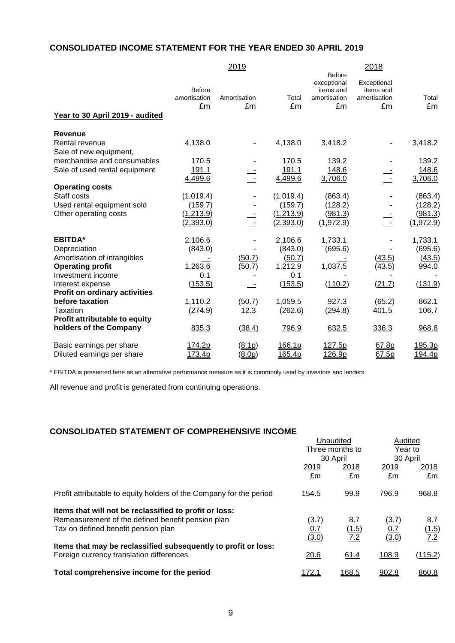## **CONSOLIDATED INCOME STATEMENT FOR THE YEAR ENDED 30 APRIL 2019**

|                                          |                                     | 2019               |                         |                                                                 | 2018                                           |                       |
|------------------------------------------|-------------------------------------|--------------------|-------------------------|-----------------------------------------------------------------|------------------------------------------------|-----------------------|
| Year to 30 April 2019 - audited          | <b>Before</b><br>amortisation<br>£m | Amortisation<br>£m | Total<br>£m             | <b>Before</b><br>exceptional<br>items and<br>amortisation<br>£m | Exceptional<br>items and<br>amortisation<br>£m | Total<br>£m           |
| Revenue                                  |                                     |                    |                         |                                                                 |                                                |                       |
| Rental revenue<br>Sale of new equipment, | 4,138.0                             |                    | 4,138.0                 | 3,418.2                                                         | ۰                                              | 3,418.2               |
| merchandise and consumables              | 170.5                               |                    | 170.5                   | 139.2                                                           |                                                | 139.2                 |
| Sale of used rental equipment            | 191.1                               |                    | 191.1                   | 148.6                                                           |                                                | 148.6                 |
|                                          | 4,499.6                             |                    | 4,499.6                 | 3,706.0                                                         |                                                | 3,706.0               |
| <b>Operating costs</b>                   |                                     |                    |                         |                                                                 |                                                |                       |
| Staff costs                              | (1,019.4)                           |                    | (1,019.4)               | (863.4)                                                         |                                                | (863.4)               |
| Used rental equipment sold               | (159.7)                             |                    | (159.7)                 | (128.2)                                                         |                                                | (128.2)               |
| Other operating costs                    | (1,213.9)<br>(2,393.0)              |                    | (1,213.9)<br>(2, 393.0) | (981.3)<br>(1,972.9)                                            | $\sim$ $-$                                     | (981.3)<br>(1, 972.9) |
| <b>EBITDA*</b>                           | 2,106.6                             |                    | 2,106.6                 | 1,733.1                                                         |                                                | 1,733.1               |
| Depreciation                             | (843.0)                             |                    | (843.0)                 | (695.6)                                                         |                                                | (695.6)               |
| Amortisation of intangibles              |                                     | (50.7)             | (50.7)                  |                                                                 | (43.5)                                         | (43.5)                |
| <b>Operating profit</b>                  | 1,263.6                             | (50.7)             | 1,212.9                 | 1,037.5                                                         | (43.5)                                         | 994.0                 |
| Investment income                        | 0.1                                 |                    | 0.1                     |                                                                 |                                                |                       |
| Interest expense                         | (153.5)                             |                    | (153.5)                 | (110.2)                                                         | (21.7)                                         | (131.9)               |
| <b>Profit on ordinary activities</b>     |                                     |                    |                         |                                                                 |                                                |                       |
| before taxation                          | 1,110.2                             | (50.7)             | 1,059.5                 | 927.3                                                           | (65.2)                                         | 862.1                 |
| Taxation                                 | <u>(274.9)</u>                      | 12.3               | (262.6)                 | (294.8)                                                         | 401.5                                          | 106.7                 |
| Profit attributable to equity            |                                     |                    |                         |                                                                 |                                                |                       |
| holders of the Company                   | 835.3                               | (38.4)             | 796.9                   | 632.5                                                           | 336.3                                          | 968.8                 |
| Basic earnings per share                 | 174.2p                              | (8.1p)             | <u>166.1p</u>           | <u>127.5p</u>                                                   | 67.8p                                          | <u>195.3p</u>         |
| Diluted earnings per share               | 173.4p                              | <u>(8.0p)</u>      | 165.4p                  | 126.9p                                                          | 67.5p                                          | 194.4p                |

**\*** EBITDA is presented here as an alternative performance measure as it is commonly used by investors and lenders.

All revenue and profit is generated from continuing operations.

## **CONSOLIDATED STATEMENT OF COMPREHENSIVE INCOME**

|                                                                     |                             | Unaudited    | Audited             |               |
|---------------------------------------------------------------------|-----------------------------|--------------|---------------------|---------------|
|                                                                     | Three months to<br>30 April |              | Year to<br>30 April |               |
|                                                                     |                             |              |                     |               |
|                                                                     | 2019                        | 2018         | 2019                | <u> 2018 </u> |
|                                                                     | £m                          | £m           | £m                  | £m            |
| Profit attributable to equity holders of the Company for the period | 154.5                       | 99.9         | 796.9               | 968.8         |
| Items that will not be reclassified to profit or loss:              |                             |              |                     |               |
| Remeasurement of the defined benefit pension plan                   | (3.7)                       | 8.7          | (3.7)               | 8.7           |
| Tax on defined benefit pension plan                                 | <u>0.7</u>                  | (1.5)        | 0.7                 | (1.5)         |
|                                                                     | (3.0)                       | 7.2          | (3.0)               | 7.2           |
| Items that may be reclassified subsequently to profit or loss:      |                             |              |                     |               |
| Foreign currency translation differences                            | 20.6                        | 61.4         | 108.9               | (115.2)       |
| Total comprehensive income for the period                           | <u>172.1</u>                | <u>168.5</u> | 902.8               | 860.8         |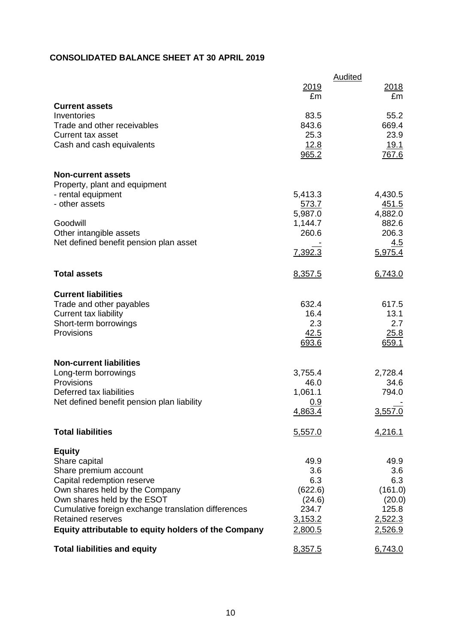## **CONSOLIDATED BALANCE SHEET AT 30 APRIL 2019**

|                                                                                                                                                                                                                                                                                                   | 2019                                                                   | Audited<br>2018                                                        |
|---------------------------------------------------------------------------------------------------------------------------------------------------------------------------------------------------------------------------------------------------------------------------------------------------|------------------------------------------------------------------------|------------------------------------------------------------------------|
| <b>Current assets</b>                                                                                                                                                                                                                                                                             | £m                                                                     | £m                                                                     |
| Inventories<br>Trade and other receivables<br><b>Current tax asset</b><br>Cash and cash equivalents                                                                                                                                                                                               | 83.5<br>843.6<br>25.3<br>12.8<br>965.2                                 | 55.2<br>669.4<br>23.9<br><u>19.1</u><br>767.6                          |
| <b>Non-current assets</b><br>Property, plant and equipment<br>- rental equipment<br>- other assets                                                                                                                                                                                                | 5,413.3<br>573.7                                                       | 4,430.5<br>451.5                                                       |
| Goodwill<br>Other intangible assets<br>Net defined benefit pension plan asset                                                                                                                                                                                                                     | 5,987.0<br>1,144.7<br>260.6                                            | 4,882.0<br>882.6<br>206.3<br>4.5                                       |
|                                                                                                                                                                                                                                                                                                   | 7,392.3                                                                | 5,975.4                                                                |
| <b>Total assets</b>                                                                                                                                                                                                                                                                               | 8,357.5                                                                | 6,743.0                                                                |
| <b>Current liabilities</b><br>Trade and other payables<br><b>Current tax liability</b><br>Short-term borrowings<br>Provisions                                                                                                                                                                     | 632.4<br>16.4<br>2.3<br>42.5<br>693.6                                  | 617.5<br>13.1<br>2.7<br>25.8<br>659.1                                  |
| <b>Non-current liabilities</b><br>Long-term borrowings<br>Provisions<br>Deferred tax liabilities<br>Net defined benefit pension plan liability                                                                                                                                                    | 3,755.4<br>46.0<br>1,061.1<br><u>0.9</u><br>4,863.4                    | 2,728.4<br>34.6<br>794.0<br>3,557.0                                    |
| <b>Total liabilities</b>                                                                                                                                                                                                                                                                          | 5,557.0                                                                | 4,216.1                                                                |
| <b>Equity</b><br>Share capital<br>Share premium account<br>Capital redemption reserve<br>Own shares held by the Company<br>Own shares held by the ESOT<br>Cumulative foreign exchange translation differences<br><b>Retained reserves</b><br>Equity attributable to equity holders of the Company | 49.9<br>3.6<br>6.3<br>(622.6)<br>(24.6)<br>234.7<br>3,153.2<br>2,800.5 | 49.9<br>3.6<br>6.3<br>(161.0)<br>(20.0)<br>125.8<br>2,522.3<br>2,526.9 |
| <b>Total liabilities and equity</b>                                                                                                                                                                                                                                                               | 8,357.5                                                                | 6,743.0                                                                |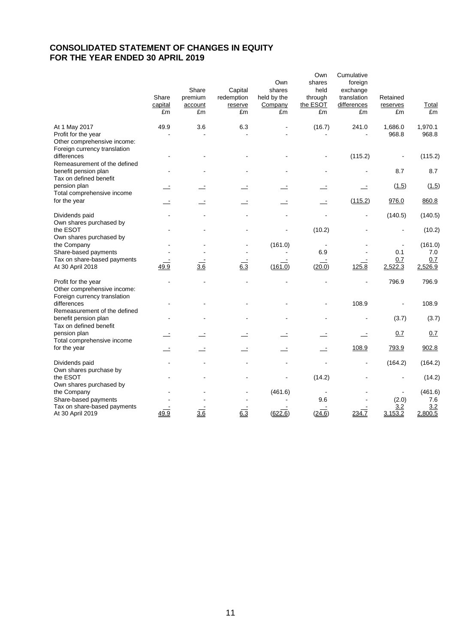## **CONSOLIDATED STATEMENT OF CHANGES IN EQUITY FOR THE YEAR ENDED 30 APRIL 2019**

|                                                                                                     | Share<br>capital<br>£m | Share<br>premium<br>account<br>£m | Capital<br>redemption<br>reserve<br>£m | Own<br>shares<br>held by the<br>Company<br>£m | Own<br>shares<br>held<br>through<br>the ESOT<br>£m | Cumulative<br>foreign<br>exchange<br>translation<br>differences<br>£m | Retained<br>reserves<br>£m | Total<br>£m      |
|-----------------------------------------------------------------------------------------------------|------------------------|-----------------------------------|----------------------------------------|-----------------------------------------------|----------------------------------------------------|-----------------------------------------------------------------------|----------------------------|------------------|
| At 1 May 2017<br>Profit for the year<br>Other comprehensive income:<br>Foreign currency translation | 49.9                   | 3.6                               | 6.3                                    |                                               | (16.7)                                             | 241.0                                                                 | 1,686.0<br>968.8           | 1,970.1<br>968.8 |
| differences<br>Remeasurement of the defined                                                         |                        |                                   |                                        |                                               |                                                    | (115.2)                                                               |                            | (115.2)          |
| benefit pension plan<br>Tax on defined benefit                                                      |                        |                                   |                                        |                                               |                                                    |                                                                       | 8.7                        | 8.7              |
| pension plan<br>Total comprehensive income                                                          |                        |                                   |                                        |                                               |                                                    | Ξ                                                                     | (1.5)                      | (1.5)            |
| for the year                                                                                        |                        |                                   |                                        |                                               | $\overline{\phantom{a}}$                           | (115.2)                                                               | 976.0                      | 860.8            |
| Dividends paid                                                                                      |                        |                                   |                                        |                                               |                                                    |                                                                       | (140.5)                    | (140.5)          |
| Own shares purchased by<br>the ESOT                                                                 |                        |                                   |                                        |                                               | (10.2)                                             |                                                                       |                            | (10.2)           |
| Own shares purchased by<br>the Company<br>Share-based payments                                      |                        |                                   |                                        | (161.0)                                       | 6.9                                                |                                                                       | 0.1                        | (161.0)<br>7.0   |
| Tax on share-based payments<br>At 30 April 2018                                                     | 49.9                   | 3.6                               | 6.3                                    | (161.0)                                       | (20.0)                                             | 125.8                                                                 | 0.7<br>2,522.3             | 0.7<br>2,526.9   |
| Profit for the year<br>Other comprehensive income:                                                  |                        |                                   |                                        |                                               |                                                    |                                                                       | 796.9                      | 796.9            |
| Foreign currency translation<br>differences<br>Remeasurement of the defined                         |                        |                                   |                                        |                                               |                                                    | 108.9                                                                 |                            | 108.9            |
| benefit pension plan<br>Tax on defined benefit                                                      |                        |                                   |                                        |                                               |                                                    |                                                                       | (3.7)                      | (3.7)            |
| pension plan<br>Total comprehensive income                                                          |                        |                                   |                                        |                                               |                                                    |                                                                       | 0.7                        | 0.7              |
| for the year                                                                                        |                        |                                   |                                        |                                               |                                                    | 108.9                                                                 | 793.9                      | 902.8            |
| Dividends paid                                                                                      |                        |                                   |                                        |                                               |                                                    |                                                                       | (164.2)                    | (164.2)          |
| Own shares purchase by<br>the ESOT                                                                  |                        |                                   |                                        |                                               | (14.2)                                             |                                                                       |                            | (14.2)           |
| Own shares purchased by<br>the Company<br>Share-based payments                                      |                        |                                   |                                        | (461.6)                                       | 9.6                                                |                                                                       | (2.0)                      | (461.6)<br>7.6   |
| Tax on share-based payments<br>At 30 April 2019                                                     | 49.9                   | 3.6                               | $6.\overline{3}$                       | (622.6)                                       | (24.6)                                             | 234.7                                                                 | 3.2<br>3,153.2             | 3.2<br>2,800.5   |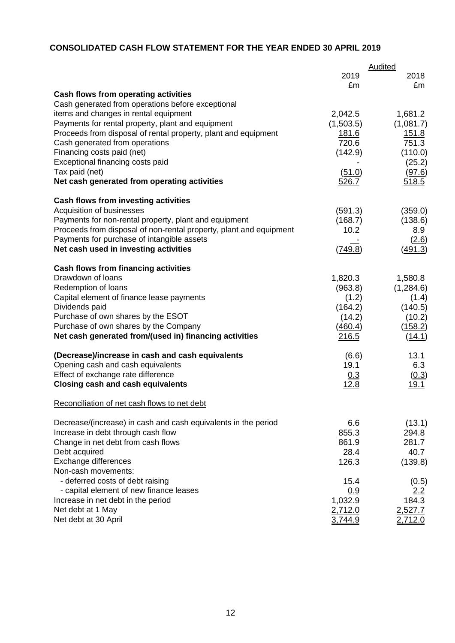# **CONSOLIDATED CASH FLOW STATEMENT FOR THE YEAR ENDED 30 APRIL 2019**

|                                                                    | Audited     |                |  |  |
|--------------------------------------------------------------------|-------------|----------------|--|--|
|                                                                    | 2019        | <u>2018</u>    |  |  |
|                                                                    | £m          | £m             |  |  |
| <b>Cash flows from operating activities</b>                        |             |                |  |  |
| Cash generated from operations before exceptional                  |             |                |  |  |
| items and changes in rental equipment                              | 2,042.5     | 1,681.2        |  |  |
| Payments for rental property, plant and equipment                  | (1,503.5)   | (1,081.7)      |  |  |
| Proceeds from disposal of rental property, plant and equipment     | 181.6       | 151.8          |  |  |
| Cash generated from operations                                     | 720.6       | 751.3          |  |  |
| Financing costs paid (net)                                         | (142.9)     | (110.0)        |  |  |
| Exceptional financing costs paid                                   |             | (25.2)         |  |  |
| Tax paid (net)                                                     | (51.0)      | (97.6)         |  |  |
| Net cash generated from operating activities                       | 526.7       | 518.5          |  |  |
| <b>Cash flows from investing activities</b>                        |             |                |  |  |
| Acquisition of businesses                                          | (591.3)     | (359.0)        |  |  |
| Payments for non-rental property, plant and equipment              | (168.7)     | (138.6)        |  |  |
| Proceeds from disposal of non-rental property, plant and equipment | 10.2        | 8.9            |  |  |
| Payments for purchase of intangible assets                         |             | (2.6)          |  |  |
| Net cash used in investing activities                              | (749.8)     | (491.3)        |  |  |
| <b>Cash flows from financing activities</b>                        |             |                |  |  |
| Drawdown of loans                                                  | 1,820.3     | 1,580.8        |  |  |
| Redemption of loans                                                | (963.8)     | (1,284.6)      |  |  |
| Capital element of finance lease payments                          | (1.2)       | (1.4)          |  |  |
| Dividends paid                                                     | (164.2)     | (140.5)        |  |  |
| Purchase of own shares by the ESOT                                 | (14.2)      | (10.2)         |  |  |
| Purchase of own shares by the Company                              | (460.4)     | (158.2)        |  |  |
| Net cash generated from/(used in) financing activities             | 216.5       | (14.1)         |  |  |
| (Decrease)/increase in cash and cash equivalents                   | (6.6)       | 13.1           |  |  |
| Opening cash and cash equivalents                                  | 19.1        | 6.3            |  |  |
| Effect of exchange rate difference                                 | 0.3         | (0.3)          |  |  |
| <b>Closing cash and cash equivalents</b>                           | <u>12.8</u> | <u> 19.1</u>   |  |  |
| Reconciliation of net cash flows to net debt                       |             |                |  |  |
| Decrease/(increase) in cash and cash equivalents in the period     | 6.6         | (13.1)         |  |  |
| Increase in debt through cash flow                                 | 855.3       | 294.8          |  |  |
| Change in net debt from cash flows                                 | 861.9       | 281.7          |  |  |
| Debt acquired                                                      | 28.4        | 40.7           |  |  |
| Exchange differences                                               | 126.3       | (139.8)        |  |  |
| Non-cash movements:                                                |             |                |  |  |
| - deferred costs of debt raising                                   | 15.4        | (0.5)          |  |  |
| - capital element of new finance leases                            | 0.9         | <u>2.2</u>     |  |  |
| Increase in net debt in the period                                 | 1,032.9     | 184.3          |  |  |
| Net debt at 1 May                                                  | 2,712.0     | 2,527.7        |  |  |
| Net debt at 30 April                                               | 3,744.9     | <u>2,712.0</u> |  |  |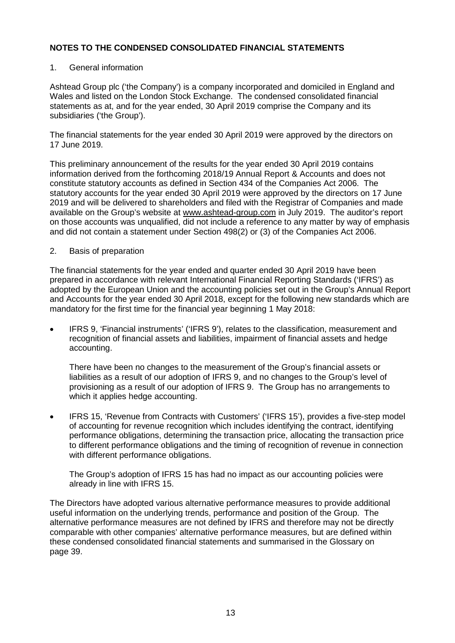### 1. General information

Ashtead Group plc ('the Company') is a company incorporated and domiciled in England and Wales and listed on the London Stock Exchange. The condensed consolidated financial statements as at, and for the year ended, 30 April 2019 comprise the Company and its subsidiaries ('the Group').

The financial statements for the year ended 30 April 2019 were approved by the directors on 17 June 2019.

This preliminary announcement of the results for the year ended 30 April 2019 contains information derived from the forthcoming 2018/19 Annual Report & Accounts and does not constitute statutory accounts as defined in Section 434 of the Companies Act 2006. The statutory accounts for the year ended 30 April 2019 were approved by the directors on 17 June 2019 and will be delivered to shareholders and filed with the Registrar of Companies and made available on the Group's website at [www.ashtead-group.com](http://www.ashtead-group.com/) in July 2019. The auditor's report on those accounts was unqualified, did not include a reference to any matter by way of emphasis and did not contain a statement under Section 498(2) or (3) of the Companies Act 2006.

#### 2. Basis of preparation

The financial statements for the year ended and quarter ended 30 April 2019 have been prepared in accordance with relevant International Financial Reporting Standards ('IFRS') as adopted by the European Union and the accounting policies set out in the Group's Annual Report and Accounts for the year ended 30 April 2018, except for the following new standards which are mandatory for the first time for the financial year beginning 1 May 2018:

• IFRS 9, 'Financial instruments' ('IFRS 9'), relates to the classification, measurement and recognition of financial assets and liabilities, impairment of financial assets and hedge accounting.

There have been no changes to the measurement of the Group's financial assets or liabilities as a result of our adoption of IFRS 9, and no changes to the Group's level of provisioning as a result of our adoption of IFRS 9. The Group has no arrangements to which it applies hedge accounting.

• IFRS 15, 'Revenue from Contracts with Customers' ('IFRS 15'), provides a five-step model of accounting for revenue recognition which includes identifying the contract, identifying performance obligations, determining the transaction price, allocating the transaction price to different performance obligations and the timing of recognition of revenue in connection with different performance obligations.

The Group's adoption of IFRS 15 has had no impact as our accounting policies were already in line with IFRS 15.

The Directors have adopted various alternative performance measures to provide additional useful information on the underlying trends, performance and position of the Group. The alternative performance measures are not defined by IFRS and therefore may not be directly comparable with other companies' alternative performance measures, but are defined within these condensed consolidated financial statements and summarised in the Glossary on page 39.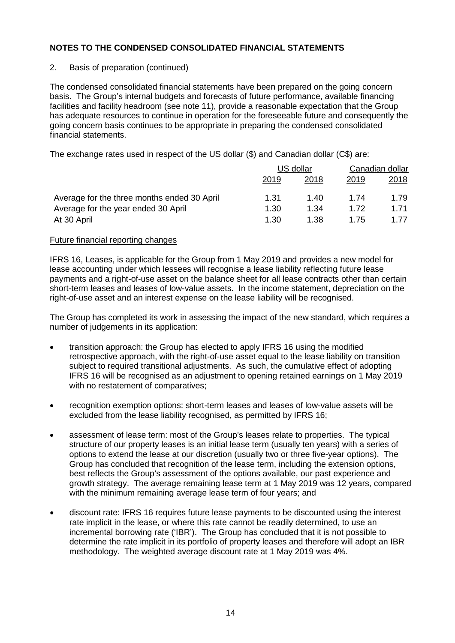### 2. Basis of preparation (continued)

The condensed consolidated financial statements have been prepared on the going concern basis. The Group's internal budgets and forecasts of future performance, available financing facilities and facility headroom (see note 11), provide a reasonable expectation that the Group has adequate resources to continue in operation for the foreseeable future and consequently the going concern basis continues to be appropriate in preparing the condensed consolidated financial statements.

The exchange rates used in respect of the US dollar (\$) and Canadian dollar (C\$) are:

|                                             | US dollar |      | Canadian dollar |      |
|---------------------------------------------|-----------|------|-----------------|------|
|                                             | 2019      | 2018 | 2019            | 2018 |
| Average for the three months ended 30 April | 1.31      | 1.40 | 1.74            | 1.79 |
| Average for the year ended 30 April         | 1.30      | 1.34 | 1.72            | 1.71 |
| At 30 April                                 | 1.30      | 1.38 | 1.75            | 177  |

#### Future financial reporting changes

IFRS 16, Leases, is applicable for the Group from 1 May 2019 and provides a new model for lease accounting under which lessees will recognise a lease liability reflecting future lease payments and a right-of-use asset on the balance sheet for all lease contracts other than certain short-term leases and leases of low-value assets. In the income statement, depreciation on the right-of-use asset and an interest expense on the lease liability will be recognised.

The Group has completed its work in assessing the impact of the new standard, which requires a number of judgements in its application:

- transition approach: the Group has elected to apply IFRS 16 using the modified retrospective approach, with the right-of-use asset equal to the lease liability on transition subject to required transitional adjustments. As such, the cumulative effect of adopting IFRS 16 will be recognised as an adjustment to opening retained earnings on 1 May 2019 with no restatement of comparatives;
- recognition exemption options: short-term leases and leases of low-value assets will be excluded from the lease liability recognised, as permitted by IFRS 16;
- assessment of lease term: most of the Group's leases relate to properties. The typical structure of our property leases is an initial lease term (usually ten years) with a series of options to extend the lease at our discretion (usually two or three five-year options). The Group has concluded that recognition of the lease term, including the extension options, best reflects the Group's assessment of the options available, our past experience and growth strategy. The average remaining lease term at 1 May 2019 was 12 years, compared with the minimum remaining average lease term of four years; and
- discount rate: IFRS 16 requires future lease payments to be discounted using the interest rate implicit in the lease, or where this rate cannot be readily determined, to use an incremental borrowing rate ('IBR'). The Group has concluded that it is not possible to determine the rate implicit in its portfolio of property leases and therefore will adopt an IBR methodology. The weighted average discount rate at 1 May 2019 was 4%.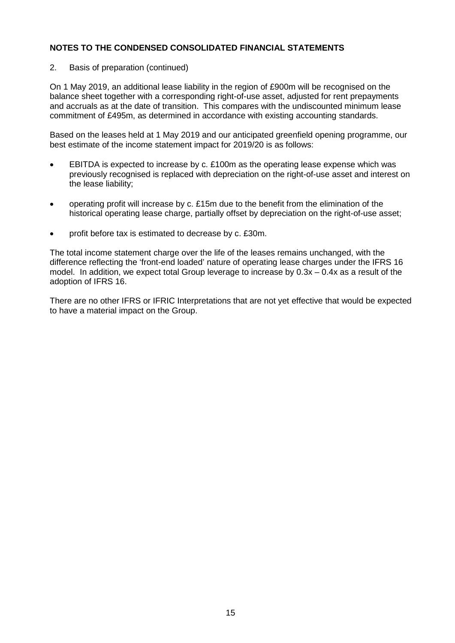2. Basis of preparation (continued)

On 1 May 2019, an additional lease liability in the region of £900m will be recognised on the balance sheet together with a corresponding right-of-use asset, adjusted for rent prepayments and accruals as at the date of transition. This compares with the undiscounted minimum lease commitment of £495m, as determined in accordance with existing accounting standards.

Based on the leases held at 1 May 2019 and our anticipated greenfield opening programme, our best estimate of the income statement impact for 2019/20 is as follows:

- EBITDA is expected to increase by c. £100m as the operating lease expense which was previously recognised is replaced with depreciation on the right-of-use asset and interest on the lease liability;
- operating profit will increase by c. £15m due to the benefit from the elimination of the historical operating lease charge, partially offset by depreciation on the right-of-use asset;
- profit before tax is estimated to decrease by c. £30m.

The total income statement charge over the life of the leases remains unchanged, with the difference reflecting the 'front-end loaded' nature of operating lease charges under the IFRS 16 model. In addition, we expect total Group leverage to increase by  $0.3x - 0.4x$  as a result of the adoption of IFRS 16.

There are no other IFRS or IFRIC Interpretations that are not yet effective that would be expected to have a material impact on the Group.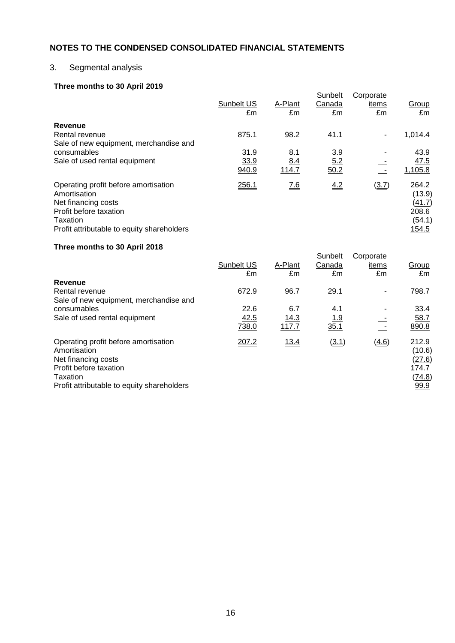## 3. Segmental analysis

## **Three months to 30 April 2019**

| Sunbelt US | A-Plant             | Sunbelt<br>Canada | Corporate<br>items | Group                                                 |
|------------|---------------------|-------------------|--------------------|-------------------------------------------------------|
|            |                     |                   |                    | £m                                                    |
|            |                     |                   |                    |                                                       |
|            |                     | 41.1              | $\blacksquare$     | 1,014.4                                               |
|            |                     |                   |                    |                                                       |
| 31.9       | 8.1                 | 3.9               |                    | 43.9                                                  |
|            |                     |                   |                    | 47.5                                                  |
| 940.9      | 114.7               | $\overline{50.2}$ |                    | 1,105.8                                               |
| 256.1      | 7.6                 | 4.2               | (3.7)              | 264.2<br>(13.9)<br>(41.7)<br>208.6<br>(54.1)<br>154.5 |
|            | £m<br>875.1<br>33.9 | £m<br>98.2<br>8.4 | £m<br>5.2          | £m                                                    |

#### **Three months to 30 April 2018**

|                                                                                                                                                                 | Sunbelt US<br>£m | A-Plant<br>£m | Sunbelt<br>Canada<br>£m | Corporate<br>items<br>£m | Group<br>£m                                                 |
|-----------------------------------------------------------------------------------------------------------------------------------------------------------------|------------------|---------------|-------------------------|--------------------------|-------------------------------------------------------------|
| Revenue                                                                                                                                                         |                  |               |                         |                          |                                                             |
| Rental revenue<br>Sale of new equipment, merchandise and                                                                                                        | 672.9            | 96.7          | 29.1                    |                          | 798.7                                                       |
| consumables                                                                                                                                                     | 22.6             | 6.7           | 4.1                     |                          | 33.4                                                        |
| Sale of used rental equipment                                                                                                                                   | 42.5<br>738.0    | 14.3<br>117.7 | <u> 1.9</u><br>35.1     |                          | 58.7<br>890.8                                               |
| Operating profit before amortisation<br>Amortisation<br>Net financing costs<br>Profit before taxation<br>Taxation<br>Profit attributable to equity shareholders | 207.2            | 13.4          | (3.1)                   | (4.6)                    | 212.9<br>(10.6)<br>(27.6)<br>174.7<br><u>(74.8)</u><br>99.9 |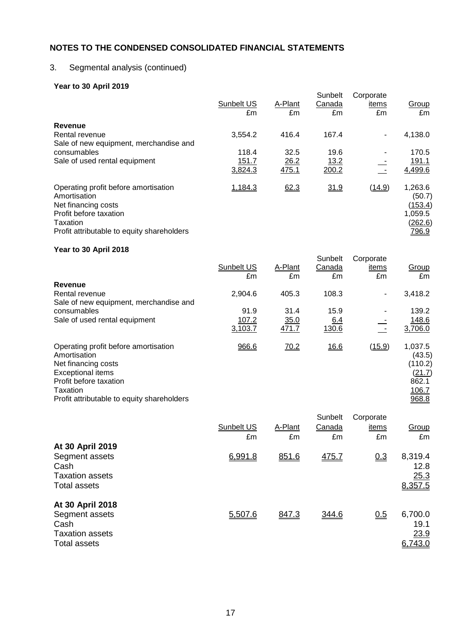## 3. Segmental analysis (continued)

## **Year to 30 April 2019**

| .94.9997.9011207.0001                                                                                                                                           | Sunbelt US<br>£m | A-Plant<br>£m | Sunbelt<br>Canada<br>£m | Corporate<br>items<br>£m | Group<br>£m                                                        |
|-----------------------------------------------------------------------------------------------------------------------------------------------------------------|------------------|---------------|-------------------------|--------------------------|--------------------------------------------------------------------|
| Revenue                                                                                                                                                         |                  |               |                         |                          |                                                                    |
| Rental revenue<br>Sale of new equipment, merchandise and                                                                                                        | 3,554.2          | 416.4         | 167.4                   | $\blacksquare$           | 4,138.0                                                            |
| consumables                                                                                                                                                     | 118.4            | 32.5          | 19.6                    |                          | 170.5                                                              |
| Sale of used rental equipment                                                                                                                                   | 151.7<br>3,824.3 | 26.2<br>475.1 | 13.2<br>200.2           |                          | 191.1<br>4,499.6                                                   |
| Operating profit before amortisation<br>Amortisation<br>Net financing costs<br>Profit before taxation<br>Taxation<br>Profit attributable to equity shareholders | 1,184.3          | 62.3          | 31.9                    | (14.9)                   | 1,263.6<br>(50.7)<br><u>(153.4)</u><br>1,059.5<br>(262.6)<br>796.9 |

#### **Year to 30 April 2018**

| $1$ can to be April 2010                                                    |                  |               |                         |                          |                              |
|-----------------------------------------------------------------------------|------------------|---------------|-------------------------|--------------------------|------------------------------|
|                                                                             | Sunbelt US<br>£m | A-Plant<br>£m | Sunbelt<br>Canada<br>£m | Corporate<br>items<br>£m | Group<br>£m                  |
| Revenue                                                                     |                  |               |                         |                          |                              |
| Rental revenue                                                              | 2,904.6          | 405.3         | 108.3                   | $\blacksquare$           | 3,418.2                      |
| Sale of new equipment, merchandise and                                      |                  |               |                         |                          |                              |
| consumables                                                                 | 91.9             | 31.4          | 15.9                    |                          | 139.2                        |
| Sale of used rental equipment                                               | 107.2            | 35.0          | 6.4                     |                          | 148.6                        |
|                                                                             | 3,103.7          | 471.7         | 130.6                   | $\sim$                   | 3,706.0                      |
| Operating profit before amortisation<br>Amortisation<br>Net financing costs | 966.6            | 70.2          | 16.6                    | (15.9)                   | 1,037.5<br>(43.5)<br>(110.2) |
| Exceptional items                                                           |                  |               |                         |                          | (21.7)                       |
| Profit before taxation                                                      |                  |               |                         |                          | 862.1                        |
| Taxation                                                                    |                  |               |                         |                          | 106.7                        |
| Profit attributable to equity shareholders                                  |                  |               |                         |                          | 968.8                        |

| At 30 April 2019                                                                            | Sunbelt US<br>£m | A-Plant<br>£m | Sunbelt<br>Canada<br>£m | Corporate<br>items<br>£m | Group<br>£m                        |
|---------------------------------------------------------------------------------------------|------------------|---------------|-------------------------|--------------------------|------------------------------------|
| Segment assets<br>Cash<br><b>Taxation assets</b><br><b>Total assets</b>                     | 6,991.8          | 851.6         | <u>475.7</u>            | 0.3                      | 8,319.4<br>12.8<br>25.3<br>8,357.5 |
| At 30 April 2018<br>Segment assets<br>Cash<br><b>Taxation assets</b><br><b>Total assets</b> | 5,507.6          | 847.3         | 344.6                   | 0.5                      | 6,700.0<br>19.1<br>23.9<br>6,743.0 |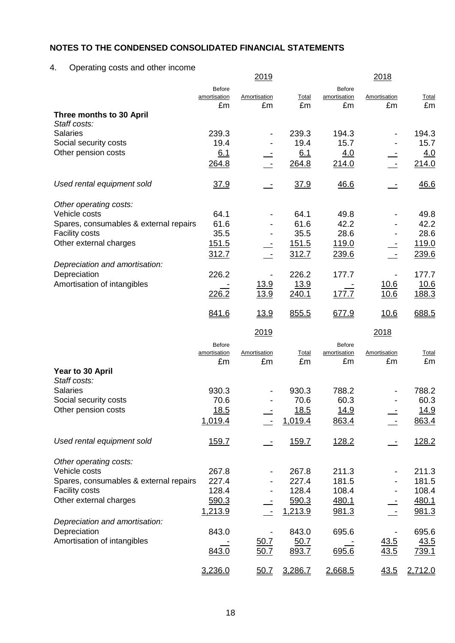# 4. Operating costs and other income

|                                              |                    | <u> 2019 </u>      |               |                    | <u> 2018 </u>      |               |
|----------------------------------------------|--------------------|--------------------|---------------|--------------------|--------------------|---------------|
|                                              | <b>Before</b>      |                    |               | <b>Before</b>      |                    |               |
|                                              | amortisation<br>£m | Amortisation<br>£m | Total<br>£m   | amortisation<br>£m | Amortisation<br>£m | Total<br>£m   |
| Three months to 30 April<br>Staff costs:     |                    |                    |               |                    |                    |               |
| <b>Salaries</b>                              | 239.3              |                    | 239.3         | 194.3              |                    | 194.3         |
| Social security costs                        | 19.4               |                    | 19.4          | 15.7               |                    | 15.7          |
| Other pension costs                          | 6.1                |                    | 6.1           | 4.0                |                    | 4.0           |
|                                              | 264.8              |                    | 264.8         | 214.0              |                    | 214.0         |
| Used rental equipment sold                   | 37.9               |                    | 37.9          | 46.6               |                    | 46.6          |
| Other operating costs:                       |                    |                    |               |                    |                    |               |
| Vehicle costs                                | 64.1               |                    | 64.1          | 49.8               |                    | 49.8          |
| Spares, consumables & external repairs       | 61.6               |                    | 61.6          | 42.2               |                    | 42.2          |
| Facility costs                               | 35.5               |                    | 35.5          | 28.6               |                    | 28.6          |
| Other external charges                       | <u>151.5</u>       |                    | 151.5         | 119.0              |                    | 119.0         |
|                                              | 312.7              |                    | 312.7         | 239.6              |                    | 239.6         |
| Depreciation and amortisation:               |                    |                    |               |                    |                    |               |
| Depreciation                                 | 226.2              |                    | 226.2         | 177.7              |                    | 177.7         |
| Amortisation of intangibles                  |                    | <u>13.9</u>        | 13.9          |                    | <u>10.6</u>        | 10.6          |
|                                              | 226.2              | 13.9               | 240.1         | 177.7              | 10.6               | 188.3         |
|                                              | 841.6              | <u>13.9</u>        | 855.5         | 677.9              | 10.6               | 688.5         |
|                                              |                    | 2019               |               |                    | 2018               |               |
|                                              | <b>Before</b>      |                    |               | <b>Before</b>      |                    |               |
|                                              | amortisation       | Amortisation       | Total         | amortisation       | Amortisation       | Total         |
|                                              | £m                 | £m                 | £m            | £m                 | £m                 | £m            |
| Year to 30 April                             |                    |                    |               |                    |                    |               |
| Staff costs:<br><b>Salaries</b>              |                    |                    |               |                    |                    |               |
|                                              | 930.3<br>70.6      |                    | 930.3<br>70.6 | 788.2<br>60.3      |                    | 788.2<br>60.3 |
| Social security costs<br>Other pension costs |                    |                    |               |                    |                    |               |
|                                              | <u>18.5</u>        |                    | <u> 18.5</u>  | <u>14.9</u>        |                    | <u> 14.9</u>  |
|                                              | 1,019.4            |                    | 1,019.4       | 863.4              |                    | 863.4         |
| Used rental equipment sold                   | <u>159.7</u>       |                    | 159.7         | 128.2              |                    | 128.2         |
| Other operating costs:                       |                    |                    |               |                    |                    |               |
| Vehicle costs                                | 267.8              |                    | 267.8         | 211.3              |                    | 211.3         |
| Spares, consumables & external repairs       | 227.4              |                    | 227.4         | 181.5              |                    | 181.5         |
| Facility costs                               | 128.4              |                    | 128.4         | 108.4              |                    | 108.4         |
| Other external charges                       | 590.3              |                    | 590.3         | 480.1              |                    | 480.1         |
|                                              | 1,213.9            |                    | 1,213.9       | 981.3              |                    | 981.3         |
| Depreciation and amortisation:               |                    |                    |               |                    |                    |               |
| Depreciation                                 | 843.0              |                    | 843.0         | 695.6              |                    | 695.6         |
| Amortisation of intangibles                  |                    | 50.7               | 50.7          |                    | <u>43.5</u>        | 43.5          |
|                                              |                    |                    |               |                    |                    |               |
|                                              | 843.0              | 50.7               | 893.7         | 695.6              | 43.5               | 739.1         |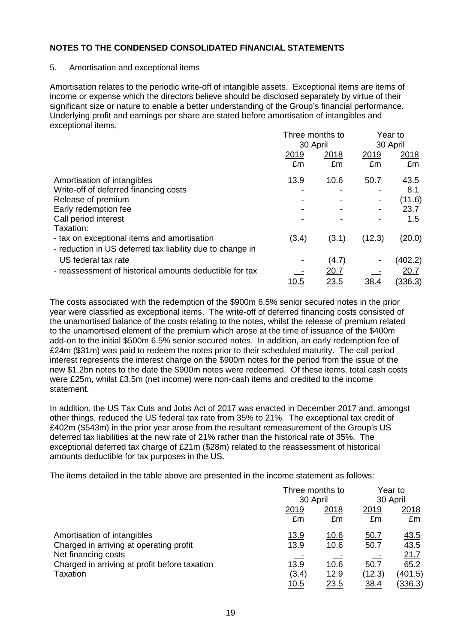#### 5. Amortisation and exceptional items

Amortisation relates to the periodic write-off of intangible assets. Exceptional items are items of income or expense which the directors believe should be disclosed separately by virtue of their significant size or nature to enable a better understanding of the Group's financial performance. Underlying profit and earnings per share are stated before amortisation of intangibles and exceptional items.

|                                                           | Three months to |             | Year to     |             |
|-----------------------------------------------------------|-----------------|-------------|-------------|-------------|
|                                                           | 30 April        |             | 30 April    |             |
|                                                           | 2019            | <u>2018</u> | <u>2019</u> | <u>2018</u> |
|                                                           | £m              | £m          | £m          | £m          |
| Amortisation of intangibles                               | 13.9            | 10.6        | 50.7        | 43.5        |
| Write-off of deferred financing costs                     |                 | -           |             | 8.1         |
| Release of premium                                        |                 |             |             | (11.6)      |
| Early redemption fee                                      |                 |             |             | 23.7        |
| Call period interest                                      |                 |             |             | 1.5         |
| Taxation:                                                 |                 |             |             |             |
| - tax on exceptional items and amortisation               | (3.4)           | (3.1)       | (12.3)      | (20.0)      |
| - reduction in US deferred tax liability due to change in |                 |             |             |             |
| US federal tax rate                                       |                 | (4.7)       |             | (402.2)     |
| - reassessment of historical amounts deductible for tax   |                 | 20.7        |             | 20.7        |
|                                                           | <u> 10.5</u>    | 23.5        | <u>38.4</u> | (336.3)     |

The costs associated with the redemption of the \$900m 6.5% senior secured notes in the prior year were classified as exceptional items. The write-off of deferred financing costs consisted of the unamortised balance of the costs relating to the notes, whilst the release of premium related to the unamortised element of the premium which arose at the time of issuance of the \$400m add-on to the initial \$500m 6.5% senior secured notes. In addition, an early redemption fee of £24m (\$31m) was paid to redeem the notes prior to their scheduled maturity. The call period interest represents the interest charge on the \$900m notes for the period from the issue of the new \$1.2bn notes to the date the \$900m notes were redeemed. Of these items, total cash costs were £25m, whilst £3.5m (net income) were non-cash items and credited to the income statement.

In addition, the US Tax Cuts and Jobs Act of 2017 was enacted in December 2017 and, amongst other things, reduced the US federal tax rate from 35% to 21%. The exceptional tax credit of £402m (\$543m) in the prior year arose from the resultant remeasurement of the Group's US deferred tax liabilities at the new rate of 21% rather than the historical rate of 35%. The exceptional deferred tax charge of £21m (\$28m) related to the reassessment of historical amounts deductible for tax purposes in the US.

The items detailed in the table above are presented in the income statement as follows:

|                                               |             | Three months to |          | Year to        |
|-----------------------------------------------|-------------|-----------------|----------|----------------|
|                                               |             | 30 April        | 30 April |                |
|                                               | 2019        | 2018            | 2019     | 2018           |
|                                               | £m          | £m              | £m       | £m             |
| Amortisation of intangibles                   | <u>13.9</u> | 10.6            | 50.7     | <u>43.5</u>    |
| Charged in arriving at operating profit       | 13.9        | 10.6            | 50.7     | 43.5           |
| Net financing costs                           |             |                 |          | 21.7           |
| Charged in arriving at profit before taxation | 13.9        | 10.6            | 50.7     | 65.2           |
| <b>Taxation</b>                               | (3.4)       | <u>12.9</u>     | (12.3)   | (401.5)        |
|                                               | <u>10.5</u> | 23.5            | 38.4     | <u>(336.3)</u> |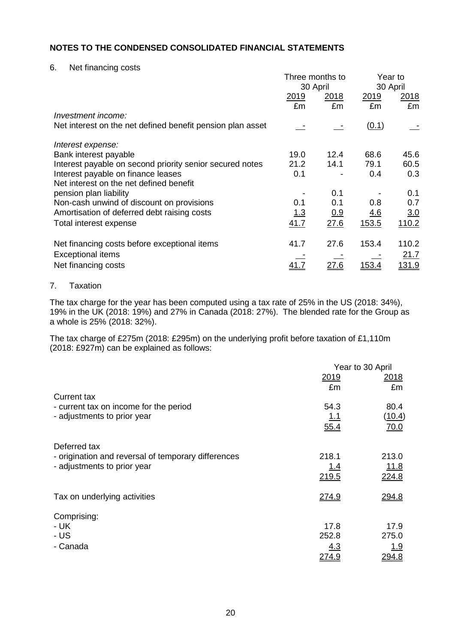6. Net financing costs

|                                                            | Three months to<br>30 April |             | Year to<br>30 April |              |
|------------------------------------------------------------|-----------------------------|-------------|---------------------|--------------|
|                                                            | 2019                        | <u>2018</u> | 2019                | 2018         |
| Investment income:                                         | £m                          | £m          | £m                  | £m           |
| Net interest on the net defined benefit pension plan asset |                             |             | (0.1)               |              |
| Interest expense:                                          |                             |             |                     |              |
| Bank interest payable                                      | 19.0                        | 12.4        | 68.6                | 45.6         |
| Interest payable on second priority senior secured notes   | 21.2                        | 14.1        | 79.1                | 60.5         |
| Interest payable on finance leases                         | 0.1                         |             | 0.4                 | 0.3          |
| Net interest on the net defined benefit                    |                             |             |                     |              |
| pension plan liability                                     |                             | 0.1         |                     | 0.1          |
| Non-cash unwind of discount on provisions                  | 0.1                         | 0.1         | 0.8                 | 0.7          |
| Amortisation of deferred debt raising costs                | 1.3                         | 0.9         | 4.6                 | 3.0          |
| Total interest expense                                     | 41.7                        | 27.6        | 153.5               | 110.2        |
| Net financing costs before exceptional items               | 41.7                        | 27.6        | 153.4               | 110.2        |
| <b>Exceptional items</b>                                   |                             |             |                     | 21.7         |
| Net financing costs                                        |                             | <u>27.6</u> | <u> 153.4</u>       | <u>131.9</u> |

## 7. Taxation

The tax charge for the year has been computed using a tax rate of 25% in the US (2018: 34%), 19% in the UK (2018: 19%) and 27% in Canada (2018: 27%). The blended rate for the Group as a whole is 25% (2018: 32%).

The tax charge of £275m (2018: £295m) on the underlying profit before taxation of £1,110m (2018: £927m) can be explained as follows:

|                                                                                                    | Year to 30 April                     |                                      |  |
|----------------------------------------------------------------------------------------------------|--------------------------------------|--------------------------------------|--|
|                                                                                                    | 2019<br>£m                           | 2018<br>£m                           |  |
| <b>Current tax</b><br>- current tax on income for the period<br>- adjustments to prior year        | 54.3<br>1.1                          | 80.4<br>(10.4)                       |  |
|                                                                                                    | 55.4                                 | 70.0                                 |  |
| Deferred tax<br>- origination and reversal of temporary differences<br>- adjustments to prior year | 218.1<br><u>1.4</u><br>219.5         | 213.0<br>11.8<br>224.8               |  |
| Tax on underlying activities                                                                       | 274.9                                | 294.8                                |  |
| Comprising:<br>- UK<br>- US<br>- Canada                                                            | 17.8<br>252.8<br><u>4.3</u><br>274.9 | 17.9<br>275.0<br><u>1.9</u><br>294.8 |  |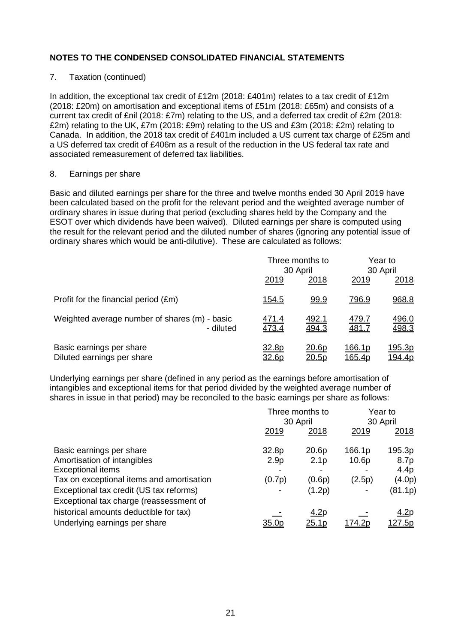### 7. Taxation (continued)

In addition, the exceptional tax credit of £12m (2018: £401m) relates to a tax credit of £12m (2018: £20m) on amortisation and exceptional items of £51m (2018: £65m) and consists of a current tax credit of £nil (2018: £7m) relating to the US, and a deferred tax credit of £2m (2018: £2m) relating to the UK, £7m (2018: £9m) relating to the US and £3m (2018: £2m) relating to Canada. In addition, the 2018 tax credit of £401m included a US current tax charge of £25m and a US deferred tax credit of £406m as a result of the reduction in the US federal tax rate and associated remeasurement of deferred tax liabilities.

#### 8. Earnings per share

Basic and diluted earnings per share for the three and twelve months ended 30 April 2019 have been calculated based on the profit for the relevant period and the weighted average number of ordinary shares in issue during that period (excluding shares held by the Company and the ESOT over which dividends have been waived). Diluted earnings per share is computed using the result for the relevant period and the diluted number of shares (ignoring any potential issue of ordinary shares which would be anti-dilutive). These are calculated as follows:

|                                                            | Three months to<br>30 April |                       | Year to<br>30 April          |                                 |
|------------------------------------------------------------|-----------------------------|-----------------------|------------------------------|---------------------------------|
|                                                            | 2019                        | <u>2018</u>           | 2019                         | 2018                            |
| Profit for the financial period (£m)                       | <u>154.5</u>                | 99.9                  | <u>796.9</u>                 | 968.8                           |
| Weighted average number of shares (m) - basic<br>- diluted | <u>471.4</u><br>473.4       | <u>492.1</u><br>494.3 | <u>479.7</u><br><u>481.7</u> | 496.0<br>498.3                  |
| Basic earnings per share<br>Diluted earnings per share     | 32.8p<br>32.6p              | <u>20.6p</u><br>20.5p | 166.1p<br>165.4p             | <u> 195.3p</u><br><u>194.4p</u> |

Underlying earnings per share (defined in any period as the earnings before amortisation of intangibles and exceptional items for that period divided by the weighted average number of shares in issue in that period) may be reconciled to the basic earnings per share as follows:

|                                           | Three months to<br>30 April |                  | Year to<br>30 April |                |
|-------------------------------------------|-----------------------------|------------------|---------------------|----------------|
|                                           | 2019                        | 2018             | 2019                | 2018           |
| Basic earnings per share                  | 32.8p                       | 20.6p            | 166.1p              | 195.3p         |
| Amortisation of intangibles               | 2.9 <sub>p</sub>            | 2.1 <sub>p</sub> | 10.6p               | 8.7p           |
| <b>Exceptional items</b>                  |                             |                  |                     | 4.4p           |
| Tax on exceptional items and amortisation | (0.7p)                      | (0.6p)           | (2.5p)              | (4.0p)         |
| Exceptional tax credit (US tax reforms)   |                             | (1.2p)           |                     | (81.1p)        |
| Exceptional tax charge (reassessment of   |                             |                  |                     |                |
| historical amounts deductible for tax)    |                             | <u>4.2p</u>      |                     | <u>4.2p</u>    |
| Underlying earnings per share             | <u>35.0p</u>                | <u>25.1p</u>     | <u>74.2p</u>        | <u> 127.5p</u> |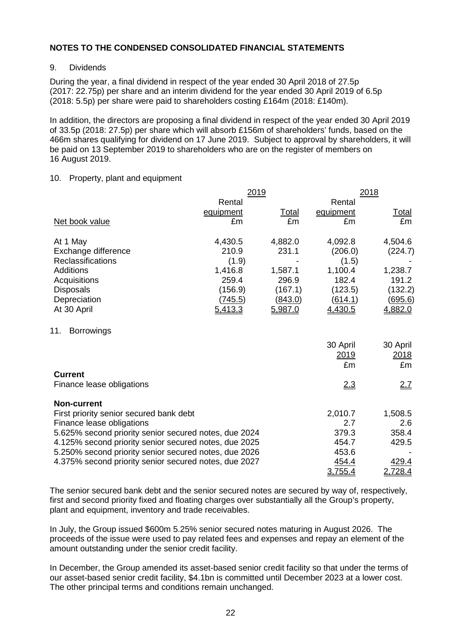#### 9. Dividends

During the year, a final dividend in respect of the year ended 30 April 2018 of 27.5p (2017: 22.75p) per share and an interim dividend for the year ended 30 April 2019 of 6.5p (2018: 5.5p) per share were paid to shareholders costing £164m (2018: £140m).

In addition, the directors are proposing a final dividend in respect of the year ended 30 April 2019 of 33.5p (2018: 27.5p) per share which will absorb £156m of shareholders' funds, based on the 466m shares qualifying for dividend on 17 June 2019. Subject to approval by shareholders, it will be paid on 13 September 2019 to shareholders who are on the register of members on 16 August 2019.

#### 10. Property, plant and equipment

|                                                       | <u> 2019</u> |              | <u> 2018 </u>          |                        |
|-------------------------------------------------------|--------------|--------------|------------------------|------------------------|
|                                                       | Rental       |              | Rental                 |                        |
|                                                       | equipment    | <u>Total</u> | equipment              | <u>Total</u>           |
| Net book value                                        | £m           | £m           | £m                     | £m                     |
| At 1 May                                              | 4,430.5      | 4,882.0      | 4,092.8                | 4,504.6                |
| Exchange difference                                   | 210.9        | 231.1        | (206.0)                | (224.7)                |
| Reclassifications                                     | (1.9)        |              | (1.5)                  |                        |
| <b>Additions</b>                                      | 1,416.8      | 1,587.1      | 1,100.4                | 1,238.7                |
| Acquisitions                                          | 259.4        | 296.9        | 182.4                  | 191.2                  |
| <b>Disposals</b>                                      | (156.9)      | (167.1)      | (123.5)                | (132.2)                |
| Depreciation                                          | (745.5)      | (843.0)      | (614.1)                | <u>(695.6)</u>         |
| At 30 April                                           | 5,413.3      | 5,987.0      | 4,430.5                | 4,882.0                |
| 11.<br><b>Borrowings</b>                              |              |              | 30 April<br>2019<br>£m | 30 April<br>2018<br>£m |
| <b>Current</b>                                        |              |              |                        |                        |
| Finance lease obligations                             |              |              | 2.3                    | 2.7                    |
| <b>Non-current</b>                                    |              |              |                        |                        |
| First priority senior secured bank debt               |              |              | 2,010.7                | 1,508.5                |
| Finance lease obligations                             |              |              | 2.7                    | 2.6                    |
| 5.625% second priority senior secured notes, due 2024 |              |              | 379.3                  | 358.4                  |
| 4.125% second priority senior secured notes, due 2025 |              |              | 454.7                  | 429.5                  |
| 5.250% second priority senior secured notes, due 2026 |              |              | 453.6                  |                        |
| 4.375% second priority senior secured notes, due 2027 |              |              | 454.4<br>3,755.4       | 429.4<br>2,728.4       |

The senior secured bank debt and the senior secured notes are secured by way of, respectively, first and second priority fixed and floating charges over substantially all the Group's property, plant and equipment, inventory and trade receivables.

In July, the Group issued \$600m 5.25% senior secured notes maturing in August 2026. The proceeds of the issue were used to pay related fees and expenses and repay an element of the amount outstanding under the senior credit facility.

In December, the Group amended its asset-based senior credit facility so that under the terms of our asset-based senior credit facility, \$4.1bn is committed until December 2023 at a lower cost. The other principal terms and conditions remain unchanged.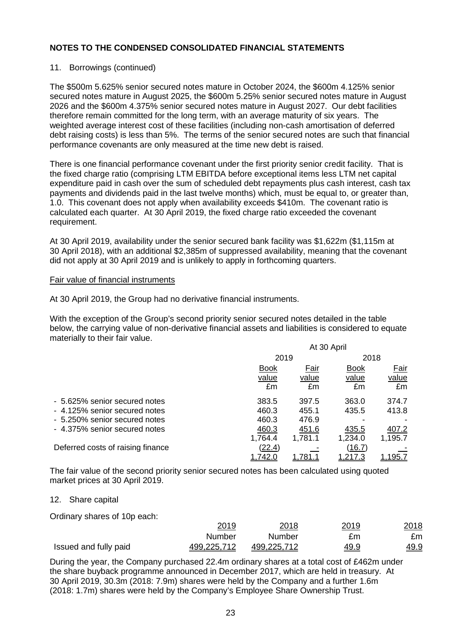#### 11. Borrowings (continued)

The \$500m 5.625% senior secured notes mature in October 2024, the \$600m 4.125% senior secured notes mature in August 2025, the \$600m 5.25% senior secured notes mature in August 2026 and the \$600m 4.375% senior secured notes mature in August 2027. Our debt facilities therefore remain committed for the long term, with an average maturity of six years. The weighted average interest cost of these facilities (including non-cash amortisation of deferred debt raising costs) is less than 5%. The terms of the senior secured notes are such that financial performance covenants are only measured at the time new debt is raised.

There is one financial performance covenant under the first priority senior credit facility. That is the fixed charge ratio (comprising LTM EBITDA before exceptional items less LTM net capital expenditure paid in cash over the sum of scheduled debt repayments plus cash interest, cash tax payments and dividends paid in the last twelve months) which, must be equal to, or greater than, 1.0. This covenant does not apply when availability exceeds \$410m. The covenant ratio is calculated each quarter. At 30 April 2019, the fixed charge ratio exceeded the covenant requirement.

At 30 April 2019, availability under the senior secured bank facility was \$1,622m (\$1,115m at 30 April 2018), with an additional \$2,385m of suppressed availability, meaning that the covenant did not apply at 30 April 2019 and is unlikely to apply in forthcoming quarters.

#### Fair value of financial instruments

At 30 April 2019, the Group had no derivative financial instruments.

With the exception of the Group's second priority senior secured notes detailed in the table below, the carrying value of non-derivative financial assets and liabilities is considered to equate materially to their fair value.

|                                   | At 30 April |         |             |         |  |
|-----------------------------------|-------------|---------|-------------|---------|--|
|                                   | 2019        |         |             | 2018    |  |
|                                   | <b>Book</b> | Fair    | <b>Book</b> | Fair    |  |
|                                   | value       | value   | value       | value   |  |
|                                   | £m          | £m      | £m          | £m      |  |
| - 5.625% senior secured notes     | 383.5       | 397.5   | 363.0       | 374.7   |  |
| - 4.125% senior secured notes     | 460.3       | 455.1   | 435.5       | 413.8   |  |
| - 5.250% senior secured notes     | 460.3       | 476.9   |             |         |  |
| - 4.375% senior secured notes     | 460.3       | 451.6   | 435.5       | 407.2   |  |
|                                   | 1,764.4     | 1,781.1 | 1,234.0     | 1,195.7 |  |
| Deferred costs of raising finance | (22.4)      |         | (16.7)      |         |  |
|                                   | 1,742.0     | 1,781.1 | 1,217.3     | 1,195.7 |  |

The fair value of the second priority senior secured notes has been calculated using quoted market prices at 30 April 2019.

#### 12. Share capital

Ordinary shares of 10p each:

|                       | 2019        | 2018        | 2019        | 2018        |
|-----------------------|-------------|-------------|-------------|-------------|
|                       | Number      | Number      | £m          | £m          |
| Issued and fully paid | 499,225,712 | 499,225,712 | <u>49.9</u> | <u>49.9</u> |

During the year, the Company purchased 22.4m ordinary shares at a total cost of £462m under the share buyback programme announced in December 2017, which are held in treasury. At 30 April 2019, 30.3m (2018: 7.9m) shares were held by the Company and a further 1.6m (2018: 1.7m) shares were held by the Company's Employee Share Ownership Trust.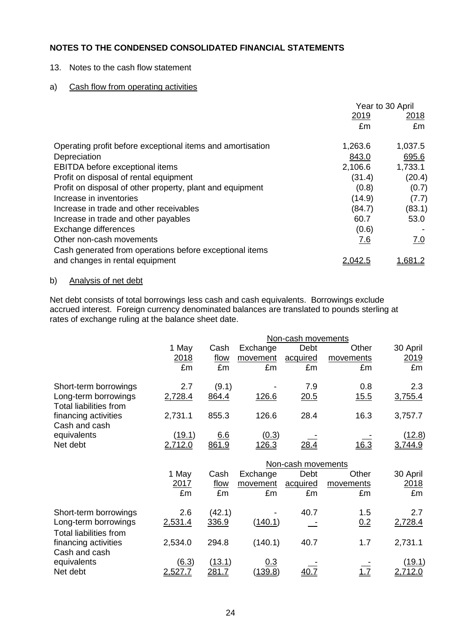13. Notes to the cash flow statement

## a) Cash flow from operating activities

|                                                            | Year to 30 April |                |  |
|------------------------------------------------------------|------------------|----------------|--|
|                                                            | 2019             |                |  |
|                                                            | £m               | £m             |  |
| Operating profit before exceptional items and amortisation | 1,263.6          | 1,037.5        |  |
| Depreciation                                               | 843.0            | 695.6          |  |
| <b>EBITDA</b> before exceptional items                     | 2,106.6          | 1,733.1        |  |
| Profit on disposal of rental equipment                     | (31.4)           | (20.4)         |  |
| Profit on disposal of other property, plant and equipment  | (0.8)            | (0.7)          |  |
| Increase in inventories                                    | (14.9)           | (7.7)          |  |
| Increase in trade and other receivables                    | (84.7)           | (83.1)         |  |
| Increase in trade and other payables                       | 60.7             | 53.0           |  |
| Exchange differences                                       | (0.6)            |                |  |
| Other non-cash movements                                   | 7.6              | 7.0            |  |
| Cash generated from operations before exceptional items    |                  |                |  |
| and changes in rental equipment                            |                  | <u>1,681.2</u> |  |

## b) Analysis of net debt

Net debt consists of total borrowings less cash and cash equivalents. Borrowings exclude accrued interest. Foreign currency denominated balances are translated to pounds sterling at rates of exchange ruling at the balance sheet date.

|                                                       |               |        |              | Non-cash movements |           |               |
|-------------------------------------------------------|---------------|--------|--------------|--------------------|-----------|---------------|
|                                                       | 1 May         | Cash   | Exchange     | Debt               | Other     | 30 April      |
|                                                       | 2018          | flow   | movement     | acquired           | movements | 2019          |
|                                                       | £m            | £m     | £m           | £m                 | £m        | £m            |
| Short-term borrowings                                 | 2.7           | (9.1)  |              | 7.9                | 0.8       | 2.3           |
| Long-term borrowings<br><b>Total liabilities from</b> | 2,728.4       | 864.4  | 126.6        | 20.5               | 15.5      | 3,755.4       |
| financing activities<br>Cash and cash                 | 2,731.1       | 855.3  | 126.6        | 28.4               | 16.3      | 3,757.7       |
| equivalents                                           | <u>(19.1)</u> | 6.6    | <u>(0.3)</u> |                    |           | <u>(12.8)</u> |
| Net debt                                              | 2,712.0       | 861.9  | 126.3        | <u>28.4</u>        | 16.3      | 3,744.9       |
|                                                       |               |        |              | Non-cash movements |           |               |
|                                                       | 1 May         | Cash   | Exchange     | Debt               | Other     | 30 April      |
|                                                       | 2017          | flow   | movement     | acquired           | movements | 2018          |
|                                                       | £m            | £m     | £m           | £m                 | £m        | £m            |
| Short-term borrowings                                 | 2.6           | (42.1) |              | 40.7               | 1.5       | 2.7           |
| Long-term borrowings<br><b>Total liabilities from</b> | 2,531.4       | 336.9  | (140.1)      |                    | 0.2       | 2,728.4       |
| financing activities<br>Cash and cash                 | 2,534.0       | 294.8  | (140.1)      | 40.7               | 1.7       | 2,731.1       |
| equivalents                                           | (6.3)         | (13.1) | 0.3          |                    |           | <u>(19.1)</u> |
| Net debt                                              | 2,527.7       | 281.7  | (139.8)      |                    |           | 2,712.0       |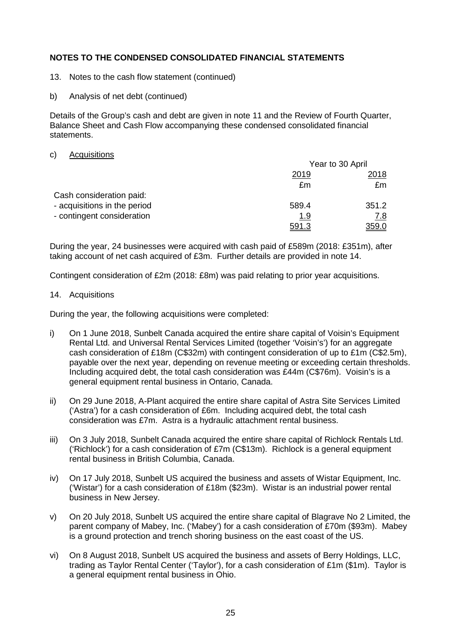- 13. Notes to the cash flow statement (continued)
- b) Analysis of net debt (continued)

Details of the Group's cash and debt are given in note 11 and the Review of Fourth Quarter, Balance Sheet and Cash Flow accompanying these condensed consolidated financial statements.

#### c) Acquisitions

|                              | Year to 30 April |            |
|------------------------------|------------------|------------|
|                              | 2019             | 2018       |
|                              | £m               | £m         |
| Cash consideration paid:     |                  |            |
| - acquisitions in the period | 589.4            | 351.2      |
| - contingent consideration   | <u> 1.9</u>      | <u>7.8</u> |
|                              | 591.3            | 359.0      |

During the year, 24 businesses were acquired with cash paid of £589m (2018: £351m), after taking account of net cash acquired of £3m. Further details are provided in note 14.

Contingent consideration of £2m (2018: £8m) was paid relating to prior year acquisitions.

14. Acquisitions

During the year, the following acquisitions were completed:

- i) On 1 June 2018, Sunbelt Canada acquired the entire share capital of Voisin's Equipment Rental Ltd. and Universal Rental Services Limited (together 'Voisin's') for an aggregate cash consideration of £18m (C\$32m) with contingent consideration of up to £1m (C\$2.5m), payable over the next year, depending on revenue meeting or exceeding certain thresholds. Including acquired debt, the total cash consideration was £44m (C\$76m). Voisin's is a general equipment rental business in Ontario, Canada.
- ii) On 29 June 2018, A-Plant acquired the entire share capital of Astra Site Services Limited ('Astra') for a cash consideration of £6m. Including acquired debt, the total cash consideration was £7m. Astra is a hydraulic attachment rental business.
- iii) On 3 July 2018, Sunbelt Canada acquired the entire share capital of Richlock Rentals Ltd. ('Richlock') for a cash consideration of £7m (C\$13m). Richlock is a general equipment rental business in British Columbia, Canada.
- iv) On 17 July 2018, Sunbelt US acquired the business and assets of Wistar Equipment, Inc. ('Wistar') for a cash consideration of £18m (\$23m). Wistar is an industrial power rental business in New Jersey.
- v) On 20 July 2018, Sunbelt US acquired the entire share capital of Blagrave No 2 Limited, the parent company of Mabey, Inc. ('Mabey') for a cash consideration of £70m (\$93m). Mabey is a ground protection and trench shoring business on the east coast of the US.
- vi) On 8 August 2018, Sunbelt US acquired the business and assets of Berry Holdings, LLC, trading as Taylor Rental Center ('Taylor'), for a cash consideration of £1m (\$1m). Taylor is a general equipment rental business in Ohio.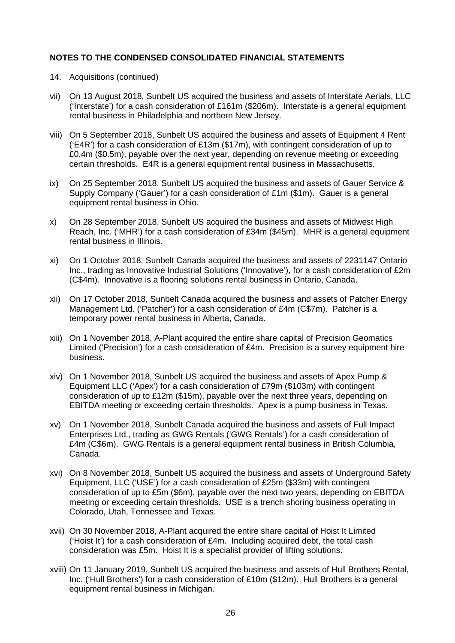- 14. Acquisitions (continued)
- vii) On 13 August 2018, Sunbelt US acquired the business and assets of Interstate Aerials, LLC ('Interstate') for a cash consideration of £161m (\$206m). Interstate is a general equipment rental business in Philadelphia and northern New Jersey.
- viii) On 5 September 2018, Sunbelt US acquired the business and assets of Equipment 4 Rent ('E4R') for a cash consideration of £13m (\$17m), with contingent consideration of up to £0.4m (\$0.5m), payable over the next year, depending on revenue meeting or exceeding certain thresholds. E4R is a general equipment rental business in Massachusetts.
- ix) On 25 September 2018, Sunbelt US acquired the business and assets of Gauer Service & Supply Company ('Gauer') for a cash consideration of £1m (\$1m). Gauer is a general equipment rental business in Ohio.
- x) On 28 September 2018, Sunbelt US acquired the business and assets of Midwest High Reach, Inc. ('MHR') for a cash consideration of £34m (\$45m). MHR is a general equipment rental business in Illinois.
- xi) On 1 October 2018, Sunbelt Canada acquired the business and assets of 2231147 Ontario Inc., trading as Innovative Industrial Solutions ('Innovative'), for a cash consideration of £2m (C\$4m). Innovative is a flooring solutions rental business in Ontario, Canada.
- xii) On 17 October 2018, Sunbelt Canada acquired the business and assets of Patcher Energy Management Ltd. ('Patcher') for a cash consideration of £4m (C\$7m). Patcher is a temporary power rental business in Alberta, Canada.
- xiii) On 1 November 2018, A-Plant acquired the entire share capital of Precision Geomatics Limited ('Precision') for a cash consideration of £4m. Precision is a survey equipment hire business.
- xiv) On 1 November 2018, Sunbelt US acquired the business and assets of Apex Pump & Equipment LLC ('Apex') for a cash consideration of £79m (\$103m) with contingent consideration of up to £12m (\$15m), payable over the next three years, depending on EBITDA meeting or exceeding certain thresholds. Apex is a pump business in Texas.
- xv) On 1 November 2018, Sunbelt Canada acquired the business and assets of Full Impact Enterprises Ltd., trading as GWG Rentals ('GWG Rentals') for a cash consideration of £4m (C\$6m). GWG Rentals is a general equipment rental business in British Columbia, Canada.
- xvi) On 8 November 2018, Sunbelt US acquired the business and assets of Underground Safety Equipment, LLC ('USE') for a cash consideration of £25m (\$33m) with contingent consideration of up to £5m (\$6m), payable over the next two years, depending on EBITDA meeting or exceeding certain thresholds. USE is a trench shoring business operating in Colorado, Utah, Tennessee and Texas.
- xvii) On 30 November 2018, A-Plant acquired the entire share capital of Hoist It Limited ('Hoist It') for a cash consideration of £4m. Including acquired debt, the total cash consideration was £5m. Hoist It is a specialist provider of lifting solutions.
- xviii) On 11 January 2019, Sunbelt US acquired the business and assets of Hull Brothers Rental, Inc. ('Hull Brothers') for a cash consideration of £10m (\$12m). Hull Brothers is a general equipment rental business in Michigan.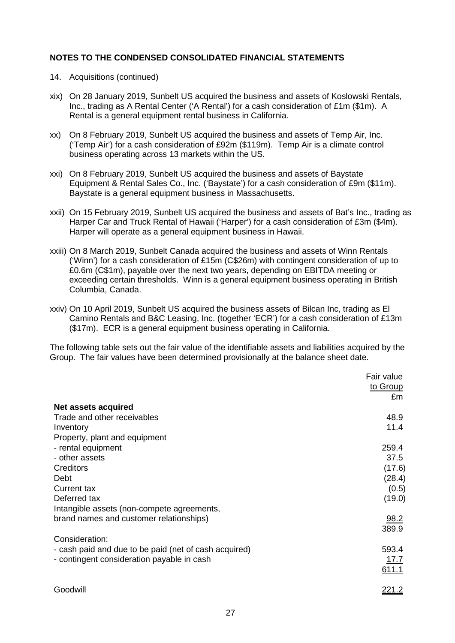- 14. Acquisitions (continued)
- xix) On 28 January 2019, Sunbelt US acquired the business and assets of Koslowski Rentals, Inc., trading as A Rental Center ('A Rental') for a cash consideration of £1m (\$1m). A Rental is a general equipment rental business in California.
- xx) On 8 February 2019, Sunbelt US acquired the business and assets of Temp Air, Inc. ('Temp Air') for a cash consideration of £92m (\$119m). Temp Air is a climate control business operating across 13 markets within the US.
- xxi) On 8 February 2019, Sunbelt US acquired the business and assets of Baystate Equipment & Rental Sales Co., Inc. ('Baystate') for a cash consideration of £9m (\$11m). Baystate is a general equipment business in Massachusetts.
- xxii) On 15 February 2019, Sunbelt US acquired the business and assets of Bat's Inc., trading as Harper Car and Truck Rental of Hawaii ('Harper') for a cash consideration of £3m (\$4m). Harper will operate as a general equipment business in Hawaii.
- xxiii) On 8 March 2019, Sunbelt Canada acquired the business and assets of Winn Rentals ('Winn') for a cash consideration of £15m (C\$26m) with contingent consideration of up to £0.6m (C\$1m), payable over the next two years, depending on EBITDA meeting or exceeding certain thresholds. Winn is a general equipment business operating in British Columbia, Canada.
- xxiv) On 10 April 2019, Sunbelt US acquired the business assets of Bilcan Inc, trading as El Camino Rentals and B&C Leasing, Inc. (together 'ECR') for a cash consideration of £13m (\$17m). ECR is a general equipment business operating in California.

The following table sets out the fair value of the identifiable assets and liabilities acquired by the Group. The fair values have been determined provisionally at the balance sheet date.

|                                                       | Fair value    |
|-------------------------------------------------------|---------------|
|                                                       | to Group      |
|                                                       | £m            |
| Net assets acquired                                   |               |
| Trade and other receivables                           | 48.9          |
| Inventory                                             | 11.4          |
| Property, plant and equipment                         |               |
| - rental equipment                                    | 259.4         |
| - other assets                                        | 37.5          |
| Creditors                                             | (17.6)        |
| Debt                                                  | (28.4)        |
| <b>Current tax</b>                                    | (0.5)         |
| Deferred tax                                          | (19.0)        |
| Intangible assets (non-compete agreements,            |               |
| brand names and customer relationships)               | 98.2          |
|                                                       | 389.9         |
| Consideration:                                        |               |
| - cash paid and due to be paid (net of cash acquired) | 593.4         |
| - contingent consideration payable in cash            | 17.7          |
|                                                       | 611.1         |
| Goodwill                                              | <u> 221.2</u> |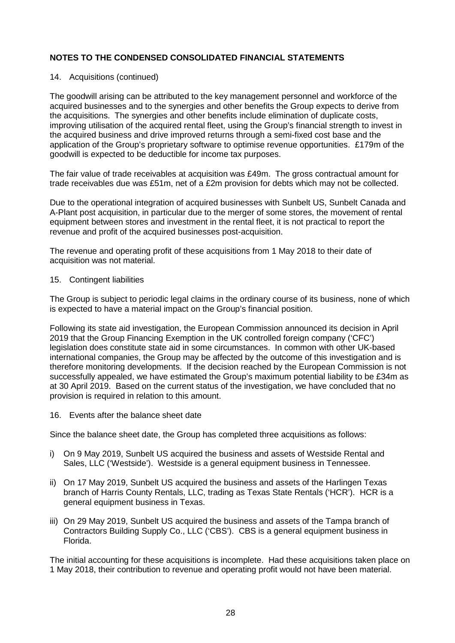### 14. Acquisitions (continued)

The goodwill arising can be attributed to the key management personnel and workforce of the acquired businesses and to the synergies and other benefits the Group expects to derive from the acquisitions. The synergies and other benefits include elimination of duplicate costs, improving utilisation of the acquired rental fleet, using the Group's financial strength to invest in the acquired business and drive improved returns through a semi-fixed cost base and the application of the Group's proprietary software to optimise revenue opportunities. £179m of the goodwill is expected to be deductible for income tax purposes.

The fair value of trade receivables at acquisition was £49m. The gross contractual amount for trade receivables due was £51m, net of a £2m provision for debts which may not be collected.

Due to the operational integration of acquired businesses with Sunbelt US, Sunbelt Canada and A-Plant post acquisition, in particular due to the merger of some stores, the movement of rental equipment between stores and investment in the rental fleet, it is not practical to report the revenue and profit of the acquired businesses post-acquisition.

The revenue and operating profit of these acquisitions from 1 May 2018 to their date of acquisition was not material.

#### 15. Contingent liabilities

The Group is subject to periodic legal claims in the ordinary course of its business, none of which is expected to have a material impact on the Group's financial position.

Following its state aid investigation, the European Commission announced its decision in April 2019 that the Group Financing Exemption in the UK controlled foreign company ('CFC') legislation does constitute state aid in some circumstances. In common with other UK-based international companies, the Group may be affected by the outcome of this investigation and is therefore monitoring developments. If the decision reached by the European Commission is not successfully appealed, we have estimated the Group's maximum potential liability to be £34m as at 30 April 2019. Based on the current status of the investigation, we have concluded that no provision is required in relation to this amount.

16. Events after the balance sheet date

Since the balance sheet date, the Group has completed three acquisitions as follows:

- i) On 9 May 2019, Sunbelt US acquired the business and assets of Westside Rental and Sales, LLC ('Westside'). Westside is a general equipment business in Tennessee.
- ii) On 17 May 2019, Sunbelt US acquired the business and assets of the Harlingen Texas branch of Harris County Rentals, LLC, trading as Texas State Rentals ('HCR'). HCR is a general equipment business in Texas.
- iii) On 29 May 2019, Sunbelt US acquired the business and assets of the Tampa branch of Contractors Building Supply Co., LLC ('CBS'). CBS is a general equipment business in Florida.

The initial accounting for these acquisitions is incomplete. Had these acquisitions taken place on 1 May 2018, their contribution to revenue and operating profit would not have been material.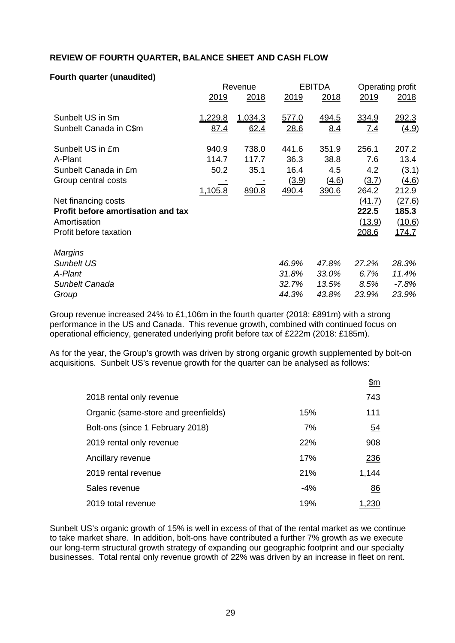## **REVIEW OF FOURTH QUARTER, BALANCE SHEET AND CASH FLOW**

## **Fourth quarter (unaudited)**

|                                           | Revenue        |         |             | <b>EBITDA</b> |              | Operating profit |  |
|-------------------------------------------|----------------|---------|-------------|---------------|--------------|------------------|--|
|                                           | <u>2019</u>    | 2018    | <u>2019</u> | 2018          | 2019         | <u> 2018 </u>    |  |
| Sunbelt US in \$m                         | 1,229.8        | 1.034.3 | 577.0       | <u>494.5</u>  | <u>334.9</u> | <u>292.3</u>     |  |
| Sunbelt Canada in C\$m                    | <u>87.4</u>    | 62.4    | 28.6        | 8.4           | <u>7.4</u>   | (4.9)            |  |
| Sunbelt US in £m                          | 940.9          | 738.0   | 441.6       | 351.9         | 256.1        | 207.2            |  |
| A-Plant                                   | 114.7          | 117.7   | 36.3        | 38.8          | 7.6          | 13.4             |  |
| Sunbelt Canada in £m                      | 50.2           | 35.1    | 16.4        | 4.5           | 4.2          | (3.1)            |  |
| Group central costs                       |                |         | (3.9)       | (4.6)         | (3.7)        | (4.6)            |  |
|                                           | <u>1,105.8</u> | 890.8   | 490.4       | 390.6         | 264.2        | 212.9            |  |
| Net financing costs                       |                |         |             |               | (41.7)       | (27.6)           |  |
| <b>Profit before amortisation and tax</b> |                |         |             |               | 222.5        | 185.3            |  |
| Amortisation                              |                |         |             |               | (13.9)       | (10.6)           |  |
| Profit before taxation                    |                |         |             |               | 208.6        | <u>174.7</u>     |  |
| <u>Marqins</u>                            |                |         |             |               |              |                  |  |
| <b>Sunbelt US</b>                         |                |         | 46.9%       | 47.8%         | 27.2%        | 28.3%            |  |
| A-Plant                                   |                |         | 31.8%       | 33.0%         | 6.7%         | 11.4%            |  |
| Sunbelt Canada                            |                |         | 32.7%       | 13.5%         | 8.5%         | $-7.8%$          |  |
| Group                                     |                |         | 44.3%       | 43.8%         | 23.9%        | 23.9%            |  |

Group revenue increased 24% to £1,106m in the fourth quarter (2018: £891m) with a strong performance in the US and Canada. This revenue growth, combined with continued focus on operational efficiency, generated underlying profit before tax of £222m (2018: £185m).

As for the year, the Group's growth was driven by strong organic growth supplemented by bolt-on acquisitions. Sunbelt US's revenue growth for the quarter can be analysed as follows:

|                                      |       | <u>\$m</u>   |
|--------------------------------------|-------|--------------|
| 2018 rental only revenue             |       | 743          |
| Organic (same-store and greenfields) | 15%   | 111          |
| Bolt-ons (since 1 February 2018)     | 7%    | <u>54</u>    |
| 2019 rental only revenue             | 22%   | 908          |
| Ancillary revenue                    | 17%   | 236          |
| 2019 rental revenue                  | 21%   | 1,144        |
| Sales revenue                        | $-4%$ | 86           |
| 2019 total revenue                   | 19%   | <u>1,230</u> |

Sunbelt US's organic growth of 15% is well in excess of that of the rental market as we continue to take market share. In addition, bolt-ons have contributed a further 7% growth as we execute our long-term structural growth strategy of expanding our geographic footprint and our specialty businesses. Total rental only revenue growth of 22% was driven by an increase in fleet on rent.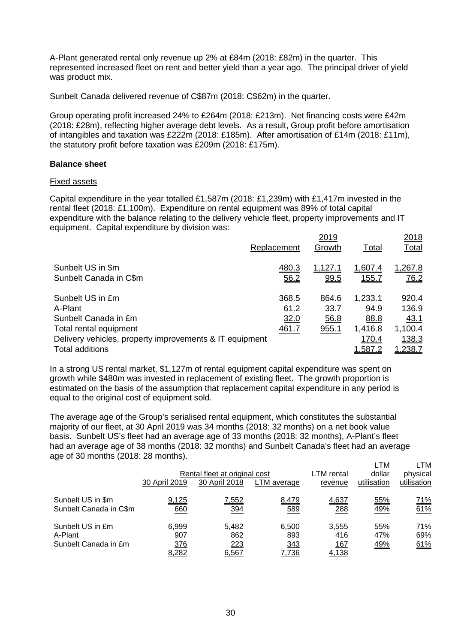A-Plant generated rental only revenue up 2% at £84m (2018: £82m) in the quarter. This represented increased fleet on rent and better yield than a year ago. The principal driver of yield was product mix.

Sunbelt Canada delivered revenue of C\$87m (2018: C\$62m) in the quarter.

Group operating profit increased 24% to £264m (2018: £213m). Net financing costs were £42m (2018: £28m), reflecting higher average debt levels. As a result, Group profit before amortisation of intangibles and taxation was £222m (2018: £185m). After amortisation of £14m (2018: £11m), the statutory profit before taxation was £209m (2018: £175m).

#### **Balance sheet**

#### Fixed assets

Capital expenditure in the year totalled £1,587m (2018: £1,239m) with £1,417m invested in the rental fleet (2018: £1,100m). Expenditure on rental equipment was 89% of total capital expenditure with the balance relating to the delivery vehicle fleet, property improvements and IT equipment. Capital expenditure by division was:

|                                                                                   | Replacement   | 2019<br>Growth         | Total                   | 2018<br>Total           |
|-----------------------------------------------------------------------------------|---------------|------------------------|-------------------------|-------------------------|
| Sunbelt US in \$m<br>Sunbelt Canada in C\$m                                       | 480.3<br>56.2 | <u>1.127.1</u><br>99.5 | 1.607.4<br><u>155.7</u> | 1,267.8<br>76.2         |
| Sunbelt US in £m                                                                  | 368.5         | 864.6                  | 1,233.1                 | 920.4                   |
| A-Plant<br>Sunbelt Canada in £m                                                   | 61.2<br>32.0  | 33.7<br>56.8           | 94.9<br>88.8            | 136.9<br>43.1           |
| Total rental equipment                                                            | 461.7         | 955.1                  | 1,416.8                 | 1,100.4                 |
| Delivery vehicles, property improvements & IT equipment<br><b>Total additions</b> |               |                        | 170.4<br><u>1,587.2</u> | 138.3<br><u>1,238.7</u> |

In a strong US rental market, \$1,127m of rental equipment capital expenditure was spent on growth while \$480m was invested in replacement of existing fleet. The growth proportion is estimated on the basis of the assumption that replacement capital expenditure in any period is equal to the original cost of equipment sold.

The average age of the Group's serialised rental equipment, which constitutes the substantial majority of our fleet, at 30 April 2019 was 34 months (2018: 32 months) on a net book value basis. Sunbelt US's fleet had an average age of 33 months (2018: 32 months), A-Plant's fleet had an average age of 38 months (2018: 32 months) and Sunbelt Canada's fleet had an average age of 30 months (2018: 28 months).

|                                                     | 30 April 2019                | Rental fleet at original cost<br>30 April 2018 | LTM average                  | LTM rental<br>revenue                | ∟TM<br>dollar<br>utilisation | LTM<br>physical<br>utilisation |
|-----------------------------------------------------|------------------------------|------------------------------------------------|------------------------------|--------------------------------------|------------------------------|--------------------------------|
| Sunbelt US in \$m<br>Sunbelt Canada in C\$m         | 9,125<br>660                 | <u>7,552</u><br><u>394</u>                     | 8,479<br>589                 | 4,637<br>288                         | 55%<br>49%                   | <u>71%</u><br>61%              |
| Sunbelt US in £m<br>A-Plant<br>Sunbelt Canada in £m | 6,999<br>907<br>376<br>8,282 | 5.482<br>862<br>223<br>6,567                   | 6,500<br>893<br>343<br>7,736 | 3,555<br>416<br><u> 167</u><br>4,138 | 55%<br>47%<br>49%            | 71%<br>69%<br>61%              |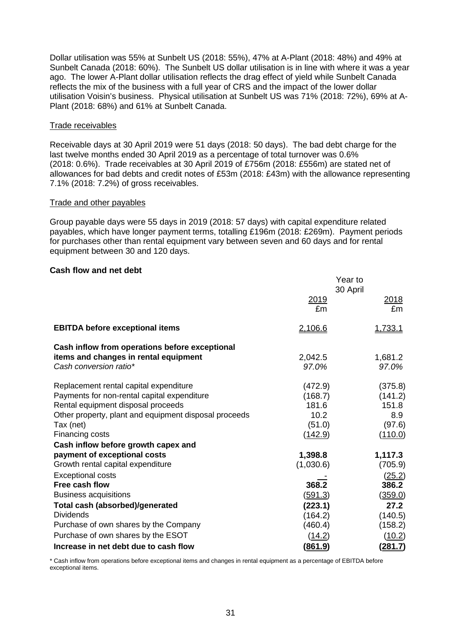Dollar utilisation was 55% at Sunbelt US (2018: 55%), 47% at A-Plant (2018: 48%) and 49% at Sunbelt Canada (2018: 60%). The Sunbelt US dollar utilisation is in line with where it was a year ago. The lower A-Plant dollar utilisation reflects the drag effect of yield while Sunbelt Canada reflects the mix of the business with a full year of CRS and the impact of the lower dollar utilisation Voisin's business. Physical utilisation at Sunbelt US was 71% (2018: 72%), 69% at A-Plant (2018: 68%) and 61% at Sunbelt Canada.

#### Trade receivables

Receivable days at 30 April 2019 were 51 days (2018: 50 days). The bad debt charge for the last twelve months ended 30 April 2019 as a percentage of total turnover was 0.6% (2018: 0.6%). Trade receivables at 30 April 2019 of £756m (2018: £556m) are stated net of allowances for bad debts and credit notes of £53m (2018: £43m) with the allowance representing 7.1% (2018: 7.2%) of gross receivables.

#### Trade and other payables

Group payable days were 55 days in 2019 (2018: 57 days) with capital expenditure related payables, which have longer payment terms, totalling £196m (2018: £269m). Payment periods for purchases other than rental equipment vary between seven and 60 days and for rental equipment between 30 and 120 days.

#### **Cash flow and net debt**

|                                                                 | Year to<br>30 April |                  |  |
|-----------------------------------------------------------------|---------------------|------------------|--|
|                                                                 | 2019<br>£m          | 2018<br>£m       |  |
| <b>EBITDA before exceptional items</b>                          | 2,106.6             | 1,733.1          |  |
| Cash inflow from operations before exceptional                  |                     |                  |  |
| items and changes in rental equipment<br>Cash conversion ratio* | 2,042.5<br>97.0%    | 1,681.2<br>97.0% |  |
| Replacement rental capital expenditure                          | (472.9)             | (375.8)          |  |
| Payments for non-rental capital expenditure                     | (168.7)             | (141.2)          |  |
| Rental equipment disposal proceeds                              | 181.6               | 151.8            |  |
| Other property, plant and equipment disposal proceeds           | 10.2                | 8.9              |  |
| Tax (net)                                                       | (51.0)              | (97.6)           |  |
| Financing costs                                                 | (142.9)             | (110.0)          |  |
| Cash inflow before growth capex and                             |                     |                  |  |
| payment of exceptional costs                                    | 1,398.8             | 1,117.3          |  |
| Growth rental capital expenditure                               | (1,030.6)           | (705.9)          |  |
| <b>Exceptional costs</b>                                        |                     | (25.2)           |  |
| Free cash flow                                                  | 368.2               | 386.2            |  |
| <b>Business acquisitions</b>                                    | <u>(591.3)</u>      | (359.0)          |  |
| Total cash (absorbed)/generated                                 | (223.1)             | 27.2             |  |
| <b>Dividends</b>                                                | (164.2)             | (140.5)          |  |
| Purchase of own shares by the Company                           | (460.4)             | (158.2)          |  |
| Purchase of own shares by the ESOT                              | (14.2)              | (10.2)           |  |
| Increase in net debt due to cash flow                           | (861.9)             | (281.7)          |  |

\* Cash inflow from operations before exceptional items and changes in rental equipment as a percentage of EBITDA before exceptional items.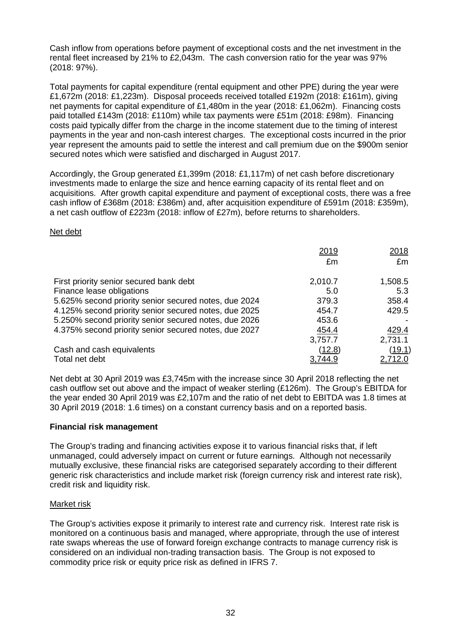Cash inflow from operations before payment of exceptional costs and the net investment in the rental fleet increased by 21% to £2,043m. The cash conversion ratio for the year was 97% (2018: 97%).

Total payments for capital expenditure (rental equipment and other PPE) during the year were £1,672m (2018: £1,223m). Disposal proceeds received totalled £192m (2018: £161m), giving net payments for capital expenditure of £1,480m in the year (2018: £1,062m). Financing costs paid totalled £143m (2018: £110m) while tax payments were £51m (2018: £98m). Financing costs paid typically differ from the charge in the income statement due to the timing of interest payments in the year and non-cash interest charges. The exceptional costs incurred in the prior year represent the amounts paid to settle the interest and call premium due on the \$900m senior secured notes which were satisfied and discharged in August 2017.

Accordingly, the Group generated £1,399m (2018: £1,117m) of net cash before discretionary investments made to enlarge the size and hence earning capacity of its rental fleet and on acquisitions. After growth capital expenditure and payment of exceptional costs, there was a free cash inflow of £368m (2018: £386m) and, after acquisition expenditure of £591m (2018: £359m), a net cash outflow of £223m (2018: inflow of £27m), before returns to shareholders.

## Net debt

|                                                       | 2019<br>£m     | 2018<br>£m |
|-------------------------------------------------------|----------------|------------|
| First priority senior secured bank debt               | 2,010.7        | 1,508.5    |
| Finance lease obligations                             | 5.0            | 5.3        |
| 5.625% second priority senior secured notes, due 2024 | 379.3          | 358.4      |
| 4.125% second priority senior secured notes, due 2025 | 454.7          | 429.5      |
| 5.250% second priority senior secured notes, due 2026 | 453.6          |            |
| 4.375% second priority senior secured notes, due 2027 | 454.4          | 429.4      |
|                                                       | 3,757.7        | 2,731.1    |
| Cash and cash equivalents                             | (12.8)         | (19.1)     |
| Total net debt                                        | <u>3,744.9</u> | 2,712.0    |

Net debt at 30 April 2019 was £3,745m with the increase since 30 April 2018 reflecting the net cash outflow set out above and the impact of weaker sterling (£126m). The Group's EBITDA for the year ended 30 April 2019 was £2,107m and the ratio of net debt to EBITDA was 1.8 times at 30 April 2019 (2018: 1.6 times) on a constant currency basis and on a reported basis.

## **Financial risk management**

The Group's trading and financing activities expose it to various financial risks that, if left unmanaged, could adversely impact on current or future earnings. Although not necessarily mutually exclusive, these financial risks are categorised separately according to their different generic risk characteristics and include market risk (foreign currency risk and interest rate risk), credit risk and liquidity risk.

## Market risk

The Group's activities expose it primarily to interest rate and currency risk. Interest rate risk is monitored on a continuous basis and managed, where appropriate, through the use of interest rate swaps whereas the use of forward foreign exchange contracts to manage currency risk is considered on an individual non-trading transaction basis. The Group is not exposed to commodity price risk or equity price risk as defined in IFRS 7.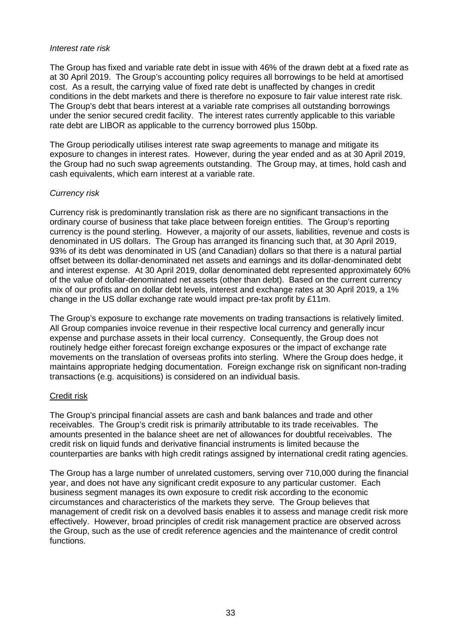#### *Interest rate risk*

The Group has fixed and variable rate debt in issue with 46% of the drawn debt at a fixed rate as at 30 April 2019. The Group's accounting policy requires all borrowings to be held at amortised cost. As a result, the carrying value of fixed rate debt is unaffected by changes in credit conditions in the debt markets and there is therefore no exposure to fair value interest rate risk. The Group's debt that bears interest at a variable rate comprises all outstanding borrowings under the senior secured credit facility. The interest rates currently applicable to this variable rate debt are LIBOR as applicable to the currency borrowed plus 150bp.

The Group periodically utilises interest rate swap agreements to manage and mitigate its exposure to changes in interest rates. However, during the year ended and as at 30 April 2019, the Group had no such swap agreements outstanding. The Group may, at times, hold cash and cash equivalents, which earn interest at a variable rate.

## *Currency risk*

Currency risk is predominantly translation risk as there are no significant transactions in the ordinary course of business that take place between foreign entities. The Group's reporting currency is the pound sterling. However, a majority of our assets, liabilities, revenue and costs is denominated in US dollars. The Group has arranged its financing such that, at 30 April 2019, 93% of its debt was denominated in US (and Canadian) dollars so that there is a natural partial offset between its dollar-denominated net assets and earnings and its dollar-denominated debt and interest expense. At 30 April 2019, dollar denominated debt represented approximately 60% of the value of dollar-denominated net assets (other than debt). Based on the current currency mix of our profits and on dollar debt levels, interest and exchange rates at 30 April 2019, a 1% change in the US dollar exchange rate would impact pre-tax profit by £11m.

The Group's exposure to exchange rate movements on trading transactions is relatively limited. All Group companies invoice revenue in their respective local currency and generally incur expense and purchase assets in their local currency. Consequently, the Group does not routinely hedge either forecast foreign exchange exposures or the impact of exchange rate movements on the translation of overseas profits into sterling. Where the Group does hedge, it maintains appropriate hedging documentation. Foreign exchange risk on significant non-trading transactions (e.g. acquisitions) is considered on an individual basis.

## Credit risk

The Group's principal financial assets are cash and bank balances and trade and other receivables. The Group's credit risk is primarily attributable to its trade receivables. The amounts presented in the balance sheet are net of allowances for doubtful receivables. The credit risk on liquid funds and derivative financial instruments is limited because the counterparties are banks with high credit ratings assigned by international credit rating agencies.

The Group has a large number of unrelated customers, serving over 710,000 during the financial year, and does not have any significant credit exposure to any particular customer. Each business segment manages its own exposure to credit risk according to the economic circumstances and characteristics of the markets they serve. The Group believes that management of credit risk on a devolved basis enables it to assess and manage credit risk more effectively. However, broad principles of credit risk management practice are observed across the Group, such as the use of credit reference agencies and the maintenance of credit control functions.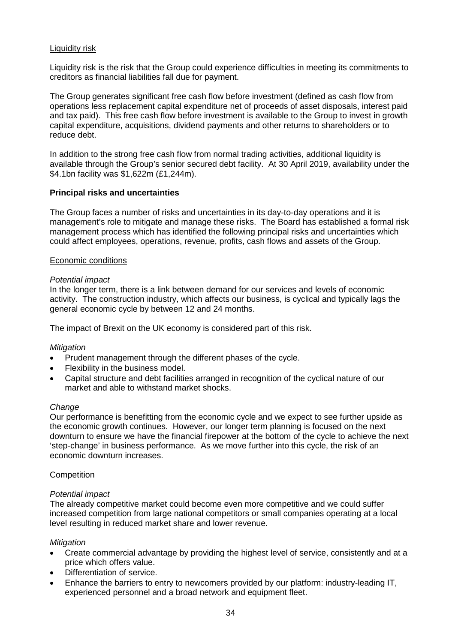## Liquidity risk

Liquidity risk is the risk that the Group could experience difficulties in meeting its commitments to creditors as financial liabilities fall due for payment.

The Group generates significant free cash flow before investment (defined as cash flow from operations less replacement capital expenditure net of proceeds of asset disposals, interest paid and tax paid). This free cash flow before investment is available to the Group to invest in growth capital expenditure, acquisitions, dividend payments and other returns to shareholders or to reduce debt.

In addition to the strong free cash flow from normal trading activities, additional liquidity is available through the Group's senior secured debt facility. At 30 April 2019, availability under the \$4.1bn facility was \$1,622m (£1,244m).

## **Principal risks and uncertainties**

The Group faces a number of risks and uncertainties in its day-to-day operations and it is management's role to mitigate and manage these risks. The Board has established a formal risk management process which has identified the following principal risks and uncertainties which could affect employees, operations, revenue, profits, cash flows and assets of the Group.

#### Economic conditions

#### *Potential impact*

In the longer term, there is a link between demand for our services and levels of economic activity. The construction industry, which affects our business, is cyclical and typically lags the general economic cycle by between 12 and 24 months.

The impact of Brexit on the UK economy is considered part of this risk.

#### *Mitigation*

- Prudent management through the different phases of the cycle.
- Flexibility in the business model.
- Capital structure and debt facilities arranged in recognition of the cyclical nature of our market and able to withstand market shocks.

#### *Change*

Our performance is benefitting from the economic cycle and we expect to see further upside as the economic growth continues. However, our longer term planning is focused on the next downturn to ensure we have the financial firepower at the bottom of the cycle to achieve the next 'step-change' in business performance. As we move further into this cycle, the risk of an economic downturn increases.

#### **Competition**

#### *Potential impact*

The already competitive market could become even more competitive and we could suffer increased competition from large national competitors or small companies operating at a local level resulting in reduced market share and lower revenue.

## *Mitigation*

- Create commercial advantage by providing the highest level of service, consistently and at a price which offers value.
- Differentiation of service.
- Enhance the barriers to entry to newcomers provided by our platform: industry-leading IT, experienced personnel and a broad network and equipment fleet.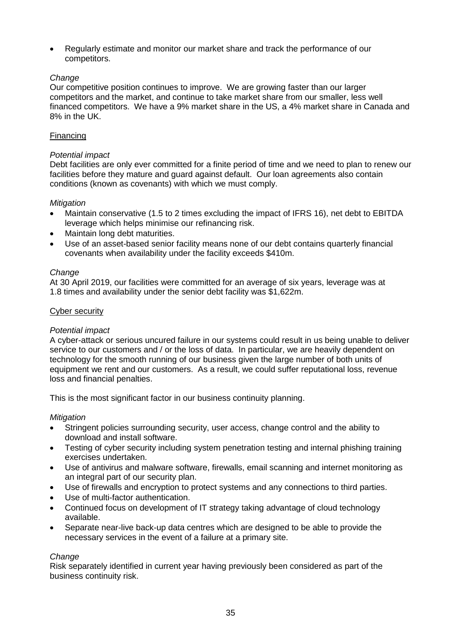• Regularly estimate and monitor our market share and track the performance of our competitors.

## *Change*

Our competitive position continues to improve. We are growing faster than our larger competitors and the market, and continue to take market share from our smaller, less well financed competitors. We have a 9% market share in the US, a 4% market share in Canada and 8% in the UK.

## Financing

## *Potential impact*

Debt facilities are only ever committed for a finite period of time and we need to plan to renew our facilities before they mature and guard against default. Our loan agreements also contain conditions (known as covenants) with which we must comply.

## *Mitigation*

- Maintain conservative (1.5 to 2 times excluding the impact of IFRS 16), net debt to EBITDA leverage which helps minimise our refinancing risk.
- Maintain long debt maturities.
- Use of an asset-based senior facility means none of our debt contains quarterly financial covenants when availability under the facility exceeds \$410m.

## *Change*

At 30 April 2019, our facilities were committed for an average of six years, leverage was at 1.8 times and availability under the senior debt facility was \$1,622m.

## Cyber security

## *Potential impact*

A cyber-attack or serious uncured failure in our systems could result in us being unable to deliver service to our customers and / or the loss of data. In particular, we are heavily dependent on technology for the smooth running of our business given the large number of both units of equipment we rent and our customers. As a result, we could suffer reputational loss, revenue loss and financial penalties.

This is the most significant factor in our business continuity planning.

## *Mitigation*

- Stringent policies surrounding security, user access, change control and the ability to download and install software.
- Testing of cyber security including system penetration testing and internal phishing training exercises undertaken.
- Use of antivirus and malware software, firewalls, email scanning and internet monitoring as an integral part of our security plan.
- Use of firewalls and encryption to protect systems and any connections to third parties.
- Use of multi-factor authentication.
- Continued focus on development of IT strategy taking advantage of cloud technology available.
- Separate near-live back-up data centres which are designed to be able to provide the necessary services in the event of a failure at a primary site.

#### *Change*

Risk separately identified in current year having previously been considered as part of the business continuity risk.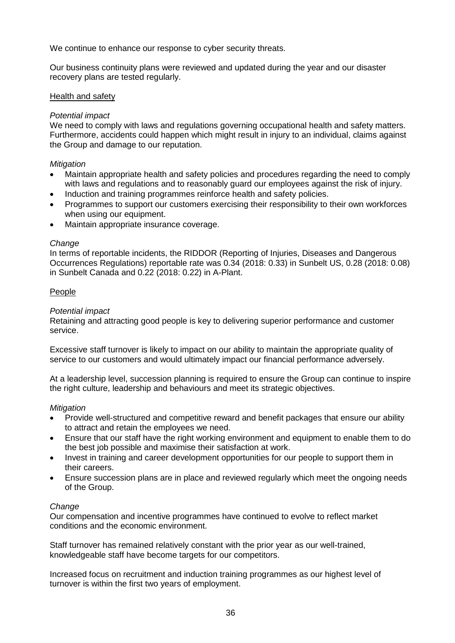We continue to enhance our response to cyber security threats.

Our business continuity plans were reviewed and updated during the year and our disaster recovery plans are tested regularly.

#### Health and safety

### *Potential impact*

We need to comply with laws and regulations governing occupational health and safety matters. Furthermore, accidents could happen which might result in injury to an individual, claims against the Group and damage to our reputation.

#### *Mitigation*

- Maintain appropriate health and safety policies and procedures regarding the need to comply with laws and regulations and to reasonably guard our employees against the risk of injury.
- Induction and training programmes reinforce health and safety policies.
- Programmes to support our customers exercising their responsibility to their own workforces when using our equipment.
- Maintain appropriate insurance coverage.

#### *Change*

In terms of reportable incidents, the RIDDOR (Reporting of Injuries, Diseases and Dangerous Occurrences Regulations) reportable rate was 0.34 (2018: 0.33) in Sunbelt US, 0.28 (2018: 0.08) in Sunbelt Canada and 0.22 (2018: 0.22) in A-Plant.

#### People

#### *Potential impact*

Retaining and attracting good people is key to delivering superior performance and customer service.

Excessive staff turnover is likely to impact on our ability to maintain the appropriate quality of service to our customers and would ultimately impact our financial performance adversely.

At a leadership level, succession planning is required to ensure the Group can continue to inspire the right culture, leadership and behaviours and meet its strategic objectives.

#### *Mitigation*

- Provide well-structured and competitive reward and benefit packages that ensure our ability to attract and retain the employees we need.
- Ensure that our staff have the right working environment and equipment to enable them to do the best job possible and maximise their satisfaction at work.
- Invest in training and career development opportunities for our people to support them in their careers.
- Ensure succession plans are in place and reviewed regularly which meet the ongoing needs of the Group.

#### *Change*

Our compensation and incentive programmes have continued to evolve to reflect market conditions and the economic environment.

Staff turnover has remained relatively constant with the prior year as our well-trained, knowledgeable staff have become targets for our competitors.

Increased focus on recruitment and induction training programmes as our highest level of turnover is within the first two years of employment.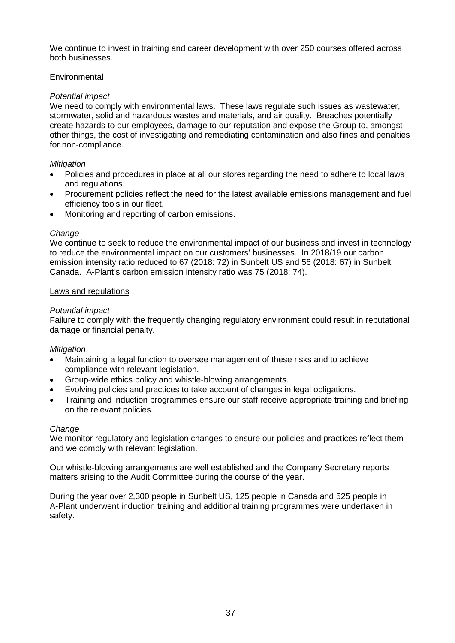We continue to invest in training and career development with over 250 courses offered across both businesses.

## **Environmental**

## *Potential impact*

We need to comply with environmental laws. These laws regulate such issues as wastewater, stormwater, solid and hazardous wastes and materials, and air quality. Breaches potentially create hazards to our employees, damage to our reputation and expose the Group to, amongst other things, the cost of investigating and remediating contamination and also fines and penalties for non-compliance.

## *Mitigation*

- Policies and procedures in place at all our stores regarding the need to adhere to local laws and regulations.
- Procurement policies reflect the need for the latest available emissions management and fuel efficiency tools in our fleet.
- Monitoring and reporting of carbon emissions.

## *Change*

We continue to seek to reduce the environmental impact of our business and invest in technology to reduce the environmental impact on our customers' businesses. In 2018/19 our carbon emission intensity ratio reduced to 67 (2018: 72) in Sunbelt US and 56 (2018: 67) in Sunbelt Canada. A-Plant's carbon emission intensity ratio was 75 (2018: 74).

## Laws and regulations

## *Potential impact*

Failure to comply with the frequently changing regulatory environment could result in reputational damage or financial penalty.

## *Mitigation*

- Maintaining a legal function to oversee management of these risks and to achieve compliance with relevant legislation.
- Group-wide ethics policy and whistle-blowing arrangements.
- Evolving policies and practices to take account of changes in legal obligations.
- Training and induction programmes ensure our staff receive appropriate training and briefing on the relevant policies.

## *Change*

We monitor regulatory and legislation changes to ensure our policies and practices reflect them and we comply with relevant legislation.

Our whistle-blowing arrangements are well established and the Company Secretary reports matters arising to the Audit Committee during the course of the year.

During the year over 2,300 people in Sunbelt US, 125 people in Canada and 525 people in A-Plant underwent induction training and additional training programmes were undertaken in safety.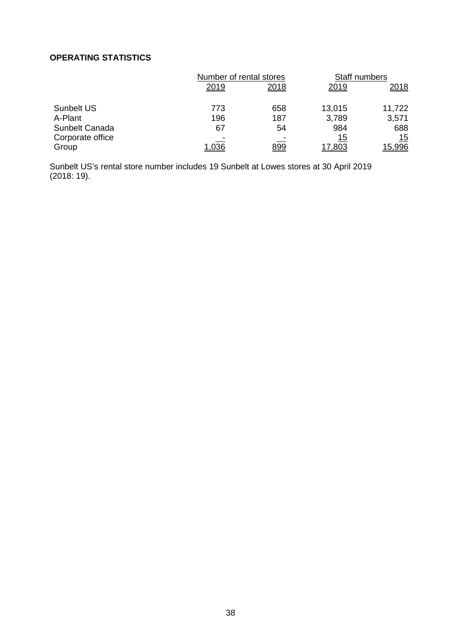## **OPERATING STATISTICS**

|                   | Number of rental stores |            | Staff numbers |               |
|-------------------|-------------------------|------------|---------------|---------------|
|                   | 2019                    | 2018       | 2019          | <u>2018</u>   |
| <b>Sunbelt US</b> | 773                     | 658        | 13,015        | 11,722        |
| A-Plant           | 196                     | 187        | 3,789         | 3,571         |
| Sunbelt Canada    | 67                      | 54         | 984           | 688           |
| Corporate office  |                         |            | 15            | 15            |
| Group             | 1,036                   | <u>899</u> | <u>17,803</u> | <u>15,996</u> |

Sunbelt US's rental store number includes 19 Sunbelt at Lowes stores at 30 April 2019 (2018: 19).